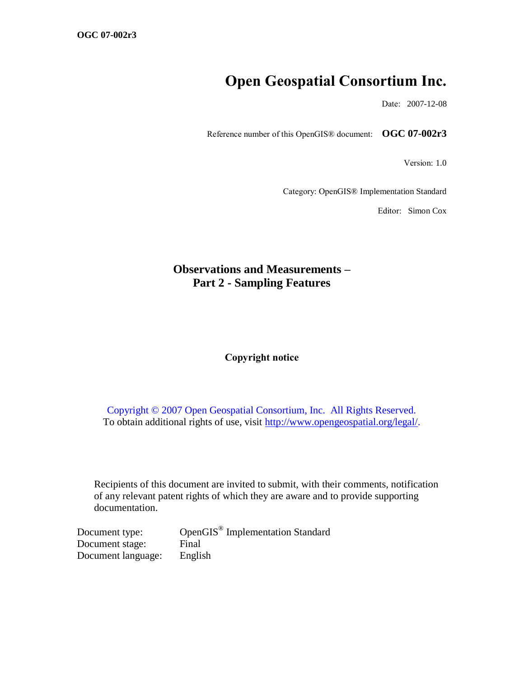# **Open Geospatial Consortium Inc.**

Date: 2007-12-08

Reference number of this OpenGIS® document: **OGC 07-002r3**

Version: 1.0

Category: OpenGIS® Implementation Standard

Editor: Simon Cox

# **Observations and Measurements – Part 2 - Sampling Features**

#### **Copyright notice**

Copyright © 2007 Open Geospatial Consortium, Inc. All Rights Reserved. To obtain additional rights of use, visit [http://www.opengeospatial.org/legal/.](http://www.opengeospatial.org/legal/)

Recipients of this document are invited to submit, with their comments, notification of any relevant patent rights of which they are aware and to provide supporting documentation.

| Document type:     | OpenGIS <sup>®</sup> Implementation Standard |
|--------------------|----------------------------------------------|
| Document stage:    | Final                                        |
| Document language: | English                                      |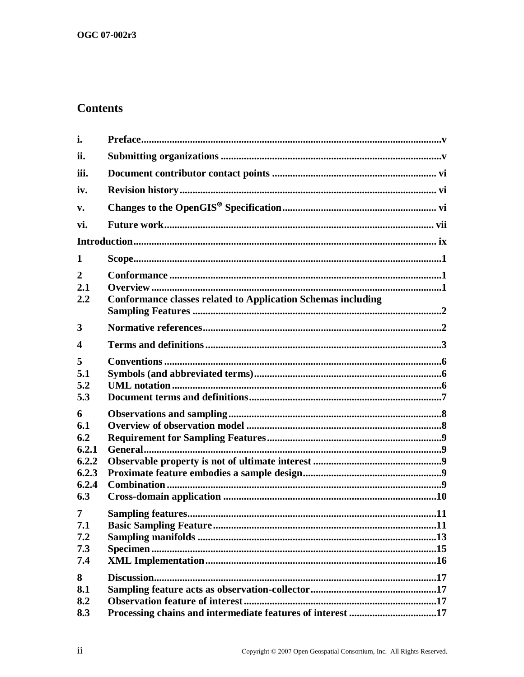# **Contents**

| i.                            |                                                                     |  |
|-------------------------------|---------------------------------------------------------------------|--|
| ii.                           |                                                                     |  |
| iii.                          |                                                                     |  |
| iv.                           |                                                                     |  |
| $\mathbf{v}$ .                |                                                                     |  |
| vi.                           |                                                                     |  |
|                               |                                                                     |  |
| 1                             |                                                                     |  |
| $\overline{2}$<br>2.1<br>2.2  | <b>Conformance classes related to Application Schemas including</b> |  |
| 3                             |                                                                     |  |
| 4                             |                                                                     |  |
| 5<br>5.1<br>5.2<br>5.3        |                                                                     |  |
| 6                             |                                                                     |  |
| 6.1<br>6.2                    |                                                                     |  |
| 6.2.1                         |                                                                     |  |
| 6.2.2                         |                                                                     |  |
| 6.2.3<br>6.2.4                |                                                                     |  |
| 6.3                           |                                                                     |  |
| 7<br>7.1<br>7.2<br>7.3<br>7.4 |                                                                     |  |
| 8<br>8.1<br>8.2<br>8.3        | Processing chains and intermediate features of interest 17          |  |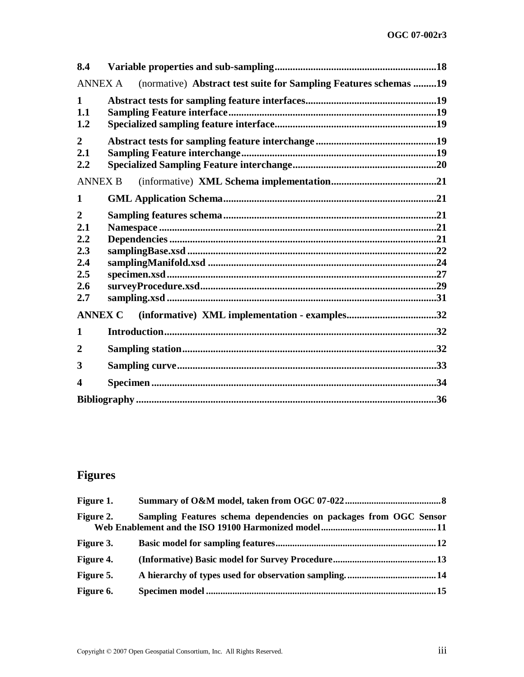| 8.4                                                             |                                                                  |  |
|-----------------------------------------------------------------|------------------------------------------------------------------|--|
| <b>ANNEX A</b>                                                  | (normative) Abstract test suite for Sampling Features schemas 19 |  |
| $\mathbf{1}$<br>1.1<br>1.2                                      |                                                                  |  |
| $\overline{2}$<br>2.1<br>2.2                                    |                                                                  |  |
| <b>ANNEX B</b>                                                  |                                                                  |  |
| 1                                                               |                                                                  |  |
| $\overline{2}$<br>2.1<br>2.2<br>2.3<br>2.4<br>2.5<br>2.6<br>2.7 |                                                                  |  |
| <b>ANNEX C</b>                                                  | (informative) XML implementation - examples32                    |  |
| 1                                                               |                                                                  |  |
| $\overline{2}$                                                  |                                                                  |  |
| 3                                                               |                                                                  |  |
| 4                                                               |                                                                  |  |
|                                                                 |                                                                  |  |

# **Figures**

| <b>Figure 1.</b> |                                                                   |
|------------------|-------------------------------------------------------------------|
| Figure 2.        | Sampling Features schema dependencies on packages from OGC Sensor |
| <b>Figure 3.</b> |                                                                   |
| Figure 4.        |                                                                   |
| Figure 5.        |                                                                   |
| Figure 6.        |                                                                   |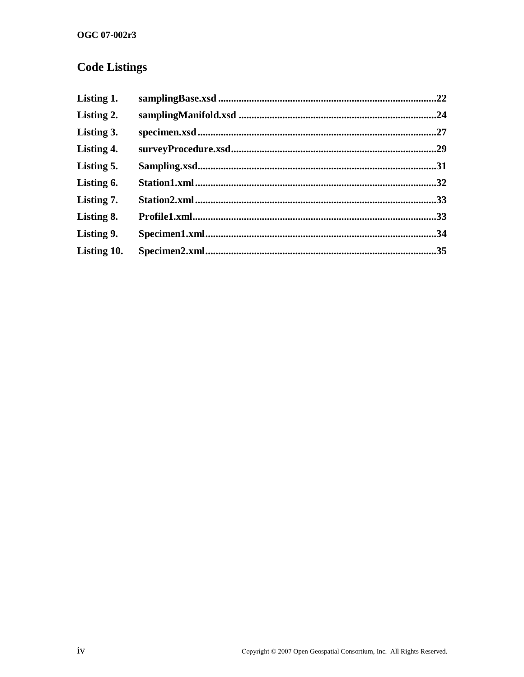# **Code Listings**

| Listing 1.  | .22 |
|-------------|-----|
| Listing 2.  | .24 |
| Listing 3.  | .27 |
| Listing 4.  |     |
| Listing 5.  | 31  |
| Listing 6.  |     |
| Listing 7.  | .33 |
| Listing 8.  |     |
| Listing 9.  | .34 |
| Listing 10. | .35 |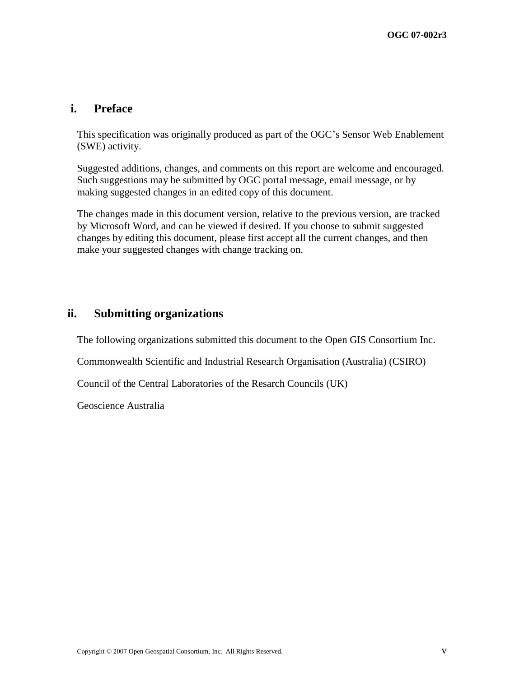# **i. Preface**

This specification was originally produced as part of the OGC's Sensor Web Enablement (SWE) activity.

Suggested additions, changes, and comments on this report are welcome and encouraged. Such suggestions may be submitted by OGC portal message, email message, or by making suggested changes in an edited copy of this document.

The changes made in this document version, relative to the previous version, are tracked by Microsoft Word, and can be viewed if desired. If you choose to submit suggested changes by editing this document, please first accept all the current changes, and then make your suggested changes with change tracking on.

# **ii. Submitting organizations**

The following organizations submitted this document to the Open GIS Consortium Inc.

Commonwealth Scientific and Industrial Research Organisation (Australia) (CSIRO)

Council of the Central Laboratories of the Resarch Councils (UK)

Geoscience Australia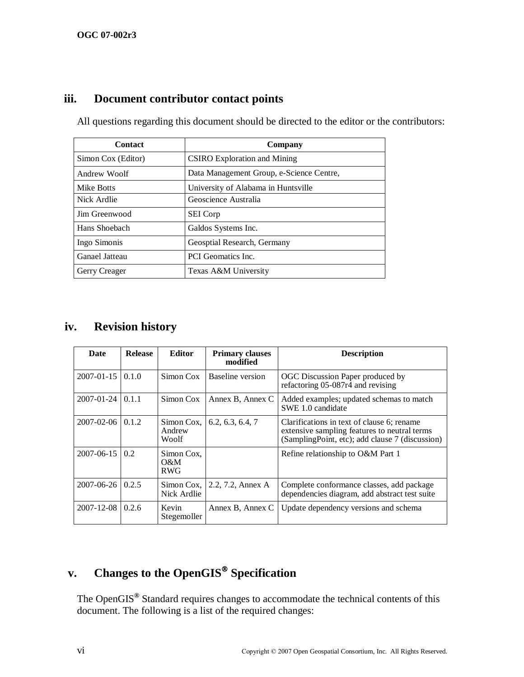# **iii. Document contributor contact points**

All questions regarding this document should be directed to the editor or the contributors:

| <b>Contact</b>     | Company                                  |  |
|--------------------|------------------------------------------|--|
| Simon Cox (Editor) | <b>CSIRO</b> Exploration and Mining      |  |
| Andrew Woolf       | Data Management Group, e-Science Centre, |  |
| Mike Botts         | University of Alabama in Huntsville      |  |
| Nick Ardlie        | Geoscience Australia                     |  |
| Jim Greenwood      | <b>SEI</b> Corp                          |  |
| Hans Shoebach      | Galdos Systems Inc.                      |  |
| Ingo Simonis       | Geosptial Research, Germany              |  |
| Ganael Jatteau     | <b>PCI</b> Geomatics Inc.                |  |
| Gerry Creager      | Texas A&M University                     |  |

# **iv. Revision history**

| Date                   | <b>Release</b> | <b>Editor</b>                             | <b>Primary clauses</b><br>modified | <b>Description</b>                                                                                                                            |
|------------------------|----------------|-------------------------------------------|------------------------------------|-----------------------------------------------------------------------------------------------------------------------------------------------|
| $2007 - 01 - 15$ 0.1.0 |                | Simon Cox                                 | Baseline version                   | OGC Discussion Paper produced by<br>refactoring $05-087r\overline{4}$ and revising                                                            |
| $2007 - 01 - 24$       | 0.1.1          | Simon Cox                                 | Annex B, Annex C                   | Added examples; updated schemas to match<br>SWE 1.0 candidate                                                                                 |
| $2007 - 02 - 06$ 0.1.2 |                | Simon Cox.<br>Andrew<br>Woolf             | 6.2, 6.3, 6.4, 7                   | Clarifications in text of clause 6; rename<br>extensive sampling features to neutral terms<br>(SamplingPoint, etc); add clause 7 (discussion) |
| 2007-06-15             | 0.2            | Simon Cox,<br>$\Omega \& M$<br><b>RWG</b> |                                    | Refine relationship to O&M Part 1                                                                                                             |
| $2007 - 06 - 26$       | 0.2.5          | Simon Cox.<br>Nick Ardlie                 | 2.2, 7.2, Annex A                  | Complete conformance classes, add package<br>dependencies diagram, add abstract test suite                                                    |
| $2007 - 12 - 08$ 0.2.6 |                | Kevin<br>Stegemoller                      | Annex B, Annex C                   | Update dependency versions and schema                                                                                                         |

# **v. Changes to the OpenGIS Specification**

The OpenGIS**®** Standard requires changes to accommodate the technical contents of this document. The following is a list of the required changes: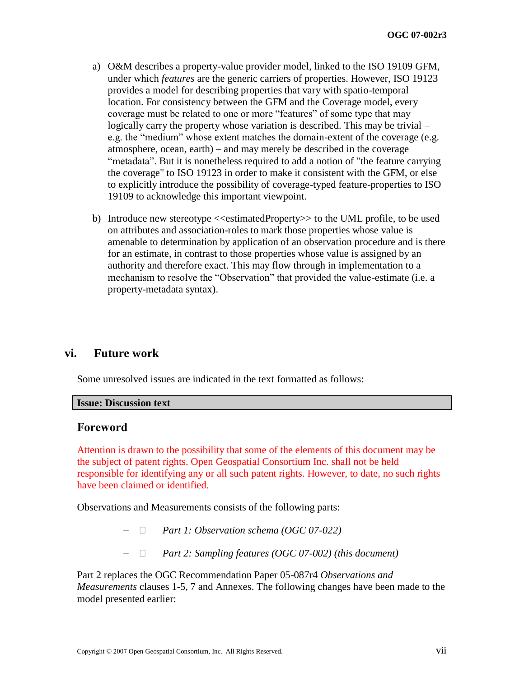- a) O&M describes a property-value provider model, linked to the ISO 19109 GFM, under which *features* are the generic carriers of properties. However, ISO 19123 provides a model for describing properties that vary with spatio-temporal location. For consistency between the GFM and the Coverage model, every coverage must be related to one or more "features" of some type that may logically carry the property whose variation is described. This may be trivial – e.g. the "medium" whose extent matches the domain-extent of the coverage (e.g. atmosphere, ocean, earth) – and may merely be described in the coverage "metadata". But it is nonetheless required to add a notion of "the feature carrying" the coverage" to ISO 19123 in order to make it consistent with the GFM, or else to explicitly introduce the possibility of coverage-typed feature-properties to ISO 19109 to acknowledge this important viewpoint.
- b) Introduce new stereotype  $\leq$ estimatedProperty $\geq$  to the UML profile, to be used on attributes and association-roles to mark those properties whose value is amenable to determination by application of an observation procedure and is there for an estimate, in contrast to those properties whose value is assigned by an authority and therefore exact. This may flow through in implementation to a mechanism to resolve the "Observation" that provided the value-estimate (i.e. a property-metadata syntax).

# **vi. Future work**

Some unresolved issues are indicated in the text formatted as follows:

#### **Issue: Discussion text**

#### **Foreword**

Attention is drawn to the possibility that some of the elements of this document may be the subject of patent rights. Open Geospatial Consortium Inc. shall not be held responsible for identifying any or all such patent rights. However, to date, no such rights have been claimed or identified.

Observations and Measurements consists of the following parts:

- *Part 1: Observation schema (OGC 07-022)*
- *Part 2: Sampling features (OGC 07-002) (this document)*

Part 2 replaces the OGC Recommendation Paper 05-087r4 *Observations and Measurements* clauses 1-5, 7 and Annexes. The following changes have been made to the model presented earlier: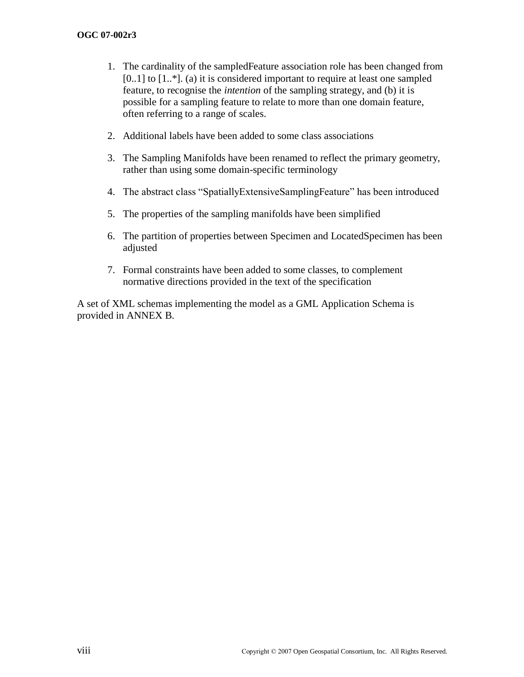- 1. The cardinality of the sampledFeature association role has been changed from  $[0..1]$  to  $[1..*]$ . (a) it is considered important to require at least one sampled feature, to recognise the *intention* of the sampling strategy, and (b) it is possible for a sampling feature to relate to more than one domain feature, often referring to a range of scales.
- 2. Additional labels have been added to some class associations
- 3. The Sampling Manifolds have been renamed to reflect the primary geometry, rather than using some domain-specific terminology
- 4. The abstract class "SpatiallyExtensiveSamplingFeature" has been introduced
- 5. The properties of the sampling manifolds have been simplified
- 6. The partition of properties between Specimen and LocatedSpecimen has been adjusted
- 7. Formal constraints have been added to some classes, to complement normative directions provided in the text of the specification

A set of XML schemas implementing the model as a GML Application Schema is provided in [ANNEX B.](#page-30-0)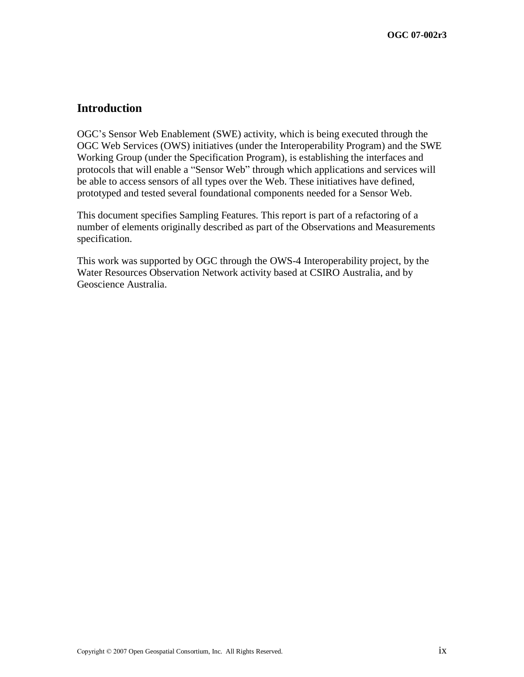# **Introduction**

OGC's Sensor Web Enablement (SWE) activity, which is being executed through the OGC Web Services (OWS) initiatives (under the Interoperability Program) and the SWE Working Group (under the Specification Program), is establishing the interfaces and protocols that will enable a "Sensor Web" through which applications and services will be able to access sensors of all types over the Web. These initiatives have defined, prototyped and tested several foundational components needed for a Sensor Web.

This document specifies Sampling Features. This report is part of a refactoring of a number of elements originally described as part of the Observations and Measurements specification.

This work was supported by OGC through the OWS-4 Interoperability project, by the Water Resources Observation Network activity based at CSIRO Australia, and by Geoscience Australia.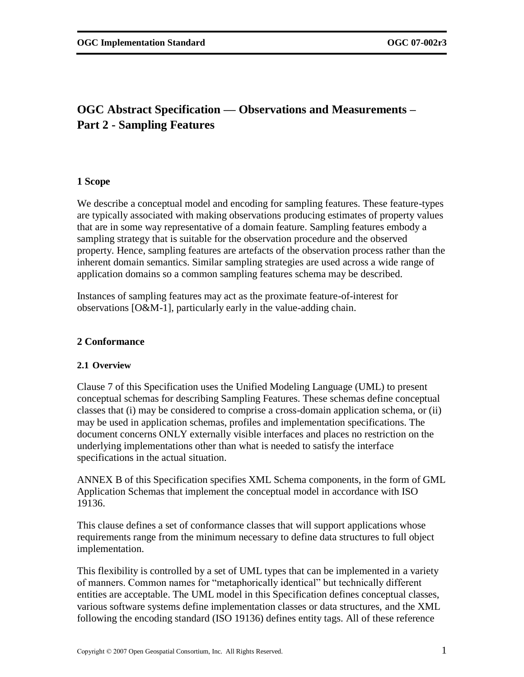# **OGC Abstract Specification — Observations and Measurements – Part 2 - Sampling Features**

# **1 Scope**

We describe a conceptual model and encoding for sampling features. These feature-types are typically associated with making observations producing estimates of property values that are in some way representative of a domain feature. Sampling features embody a sampling strategy that is suitable for the observation procedure and the observed property. Hence, sampling features are artefacts of the observation process rather than the inherent domain semantics. Similar sampling strategies are used across a wide range of application domains so a common sampling features schema may be described.

Instances of sampling features may act as the proximate feature-of-interest for observations [O&M-1], particularly early in the value-adding chain.

# **2 Conformance**

### **2.1 Overview**

Clause [7](#page-20-1) of this Specification uses the Unified Modeling Language (UML) to present conceptual schemas for describing Sampling Features. These schemas define conceptual classes that (i) may be considered to comprise a cross-domain application schema, or (ii) may be used in application schemas, profiles and implementation specifications. The document concerns ONLY externally visible interfaces and places no restriction on the underlying implementations other than what is needed to satisfy the interface specifications in the actual situation.

[ANNEX B](#page-30-0) of this Specification specifies XML Schema components, in the form of GML Application Schemas that implement the conceptual model in accordance with ISO 19136.

This clause defines a set of conformance classes that will support applications whose requirements range from the minimum necessary to define data structures to full object implementation.

This flexibility is controlled by a set of UML types that can be implemented in a variety of manners. Common names for "metaphorically identical" but technically different entities are acceptable. The UML model in this Specification defines conceptual classes, various software systems define implementation classes or data structures, and the XML following the encoding standard (ISO 19136) defines entity tags. All of these reference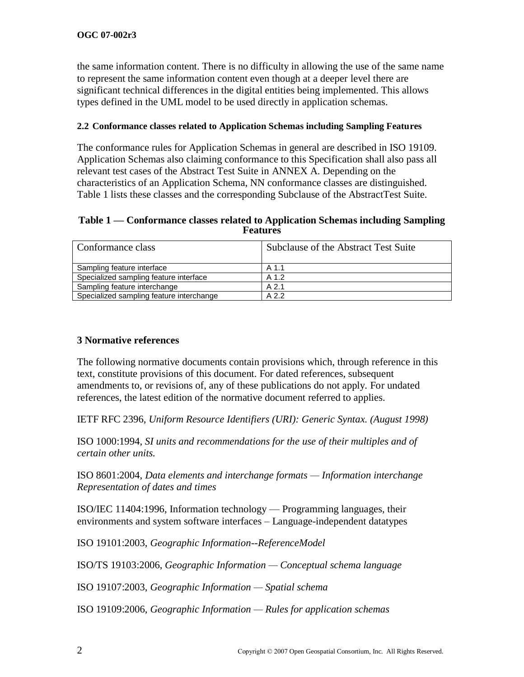the same information content. There is no difficulty in allowing the use of the same name to represent the same information content even though at a deeper level there are significant technical differences in the digital entities being implemented. This allows types defined in the UML model to be used directly in application schemas.

# **2.2 Conformance classes related to Application Schemas including Sampling Features**

The conformance rules for Application Schemas in general are described in ISO 19109. Application Schemas also claiming conformance to this Specification shall also pass all relevant test cases of the Abstract Test Suite in [ANNEX A.](#page-28-0) Depending on the characteristics of an Application Schema, NN conformance classes are distinguished. Table 1 lists these classes and the corresponding Subclause of the AbstractTest Suite.

#### **Table 1 — Conformance classes related to Application Schemas including Sampling Features**

| Conformance class                        | Subclause of the Abstract Test Suite |  |
|------------------------------------------|--------------------------------------|--|
| Sampling feature interface               | A 1.1                                |  |
| Specialized sampling feature interface   | A 1.2                                |  |
| Sampling feature interchange             | $A$ 2.1                              |  |
| Specialized sampling feature interchange | A 2.2                                |  |

# **3 Normative references**

The following normative documents contain provisions which, through reference in this text, constitute provisions of this document. For dated references, subsequent amendments to, or revisions of, any of these publications do not apply. For undated references, the latest edition of the normative document referred to applies.

IETF RFC 2396, *Uniform Resource Identifiers (URI): Generic Syntax. (August 1998)*

ISO 1000:1994, *SI units and recommendations for the use of their multiples and of certain other units.* 

ISO 8601:2004, *Data elements and interchange formats — Information interchange Representation of dates and times*

ISO/IEC 11404:1996, Information technology — Programming languages, their environments and system software interfaces – Language-independent datatypes

ISO 19101:2003, *Geographic Information--ReferenceModel*

ISO/TS 19103:2006, *Geographic Information — Conceptual schema language*

ISO 19107:2003, *Geographic Information — Spatial schema*

ISO 19109:2006, *Geographic Information — Rules for application schemas*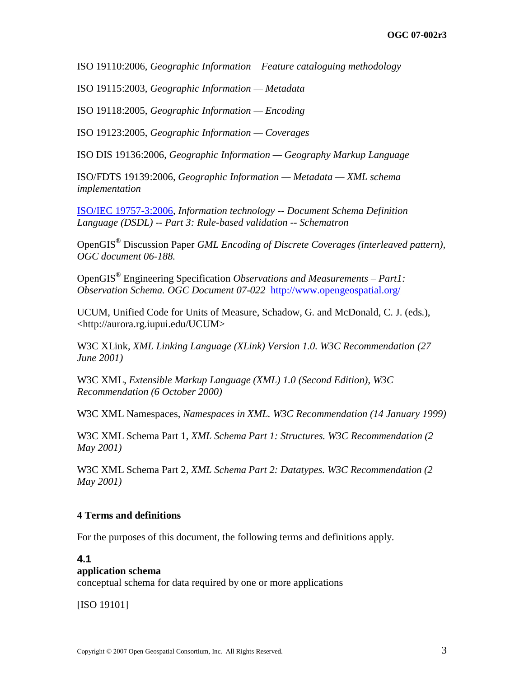ISO 19110:2006, *Geographic Information – Feature cataloguing methodology*

ISO 19115:2003, *Geographic Information — Metadata*

ISO 19118:2005, *Geographic Information — Encoding*

ISO 19123:2005, *Geographic Information — Coverages*

ISO DIS 19136:2006, *Geographic Information — Geography Markup Language*

ISO/FDTS 19139:2006, *Geographic Information — Metadata — XML schema implementation*

[ISO/IEC 19757-3:2006,](http://standards.iso.org/ittf/PubliclyAvailableStandards/c040833_ISO_IEC_19757-3_2006%28E%29.zip) *Information technology -- Document Schema Definition Language (DSDL) -- Part 3: Rule-based validation -- Schematron*

OpenGIS® Discussion Paper *GML Encoding of Discrete Coverages (interleaved pattern), OGC document 06-188.* 

OpenGIS® Engineering Specification *Observations and Measurements – Part1: Observation Schema. OGC Document 07-022* <http://www.opengeospatial.org/>

UCUM, Unified Code for Units of Measure, Schadow, G. and McDonald, C. J. (eds.), <http://aurora.rg.iupui.edu/UCUM>

W3C XLink, *XML Linking Language (XLink) Version 1.0. W3C Recommendation (27 June 2001)*

W3C XML, *Extensible Markup Language (XML) 1.0 (Second Edition), W3C Recommendation (6 October 2000)*

W3C XML Namespaces, *Namespaces in XML. W3C Recommendation (14 January 1999)* 

W3C XML Schema Part 1, *XML Schema Part 1: Structures. W3C Recommendation (2 May 2001)* 

W3C XML Schema Part 2, *XML Schema Part 2: Datatypes. W3C Recommendation (2 May 2001)* 

### **4 Terms and definitions**

For the purposes of this document, the following terms and definitions apply.

#### **4.1**

#### **application schema**

conceptual schema for data required by one or more applications

[ISO 19101]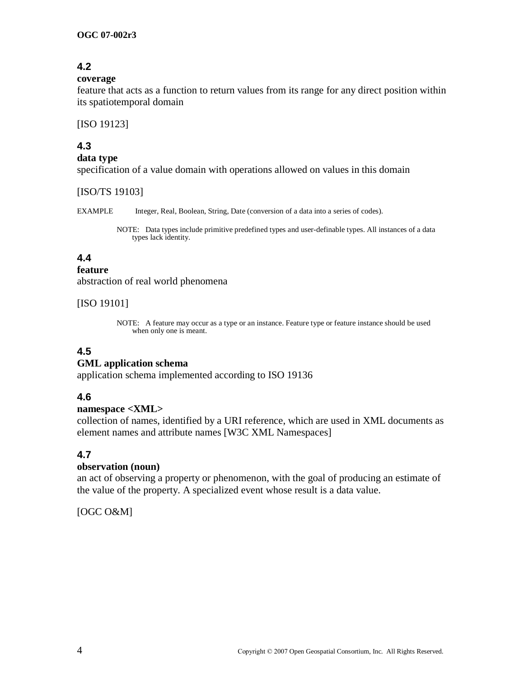# **4.2**

#### **coverage**

feature that acts as a function to return values from its range for any direct position within its spatiotemporal domain

[ISO 19123]

# **4.3**

#### **data type**

specification of a value domain with operations allowed on values in this domain

[ISO/TS 19103]

EXAMPLE Integer, Real, Boolean, String, Date (conversion of a data into a series of codes).

NOTE: Data types include primitive predefined types and user-definable types. All instances of a data types lack identity.

# **4.4**

# **feature**

abstraction of real world phenomena

# [ISO 19101]

NOTE: A feature may occur as a type or an instance. Feature type or feature instance should be used when only one is meant.

# **4.5**

# **GML application schema**

application schema implemented according to ISO 19136

# **4.6**

### **namespace <XML>**

collection of names, identified by a URI reference, which are used in XML documents as element names and attribute names [W3C XML Namespaces]

# **4.7**

### **observation (noun)**

an act of observing a property or phenomenon, with the goal of producing an estimate of the value of the property. A specialized event whose result is a data value.

[OGC O&M]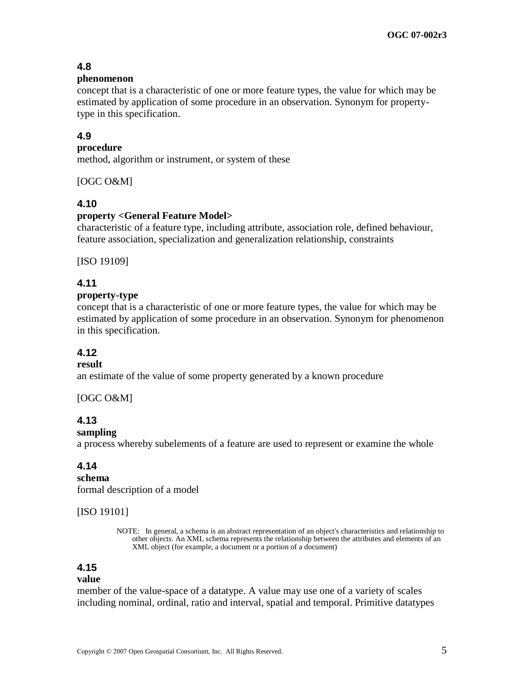# **4.8**

#### **phenomenon**

concept that is a characteristic of one or more feature types, the value for which may be estimated by application of some procedure in an observation. Synonym for propertytype in this specification.

# **4.9**

#### **procedure**

method, algorithm or instrument, or system of these

[OGC O&M]

### **4.10**

#### **property <General Feature Model>**

characteristic of a feature type, including attribute, association role, defined behaviour, feature association, specialization and generalization relationship, constraints

[ISO 19109]

### **4.11**

#### **property-type**

concept that is a characteristic of one or more feature types, the value for which may be estimated by application of some procedure in an observation. Synonym for phenomenon in this specification.

# **4.12**

# **result**

an estimate of the value of some property generated by a known procedure

#### [OGC O&M]

# **4.13**

#### **sampling**

a process whereby subelements of a feature are used to represent or examine the whole

### **4.14**

**schema** formal description of a model

#### [ISO 19101]

NOTE: In general, a schema is an abstract representation of an object's characteristics and relationship to other objects. An XML schema represents the relationship between the attributes and elements of an XML object (for example, a document or a portion of a document)

# **4.15**

#### **value**

member of the value-space of a datatype. A value may use one of a variety of scales including nominal, ordinal, ratio and interval, spatial and temporal. Primitive datatypes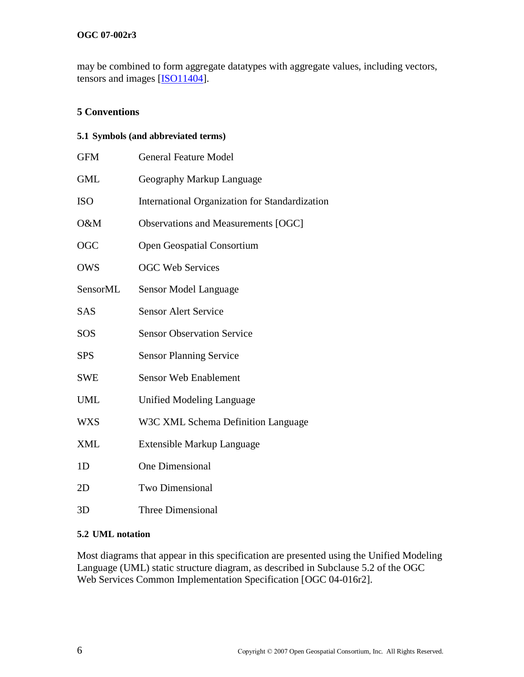### **OGC 07-002r3**

may be combined to form aggregate datatypes with aggregate values, including vectors, tensors and images [ISO11404].

# **5 Conventions**

# **5.1 Symbols (and abbreviated terms)**

| <b>GFM</b>     | <b>General Feature Model</b>                   |  |  |
|----------------|------------------------------------------------|--|--|
| <b>GML</b>     | Geography Markup Language                      |  |  |
| <b>ISO</b>     | International Organization for Standardization |  |  |
| O&M            | Observations and Measurements [OGC]            |  |  |
| OGC            | <b>Open Geospatial Consortium</b>              |  |  |
| <b>OWS</b>     | <b>OGC Web Services</b>                        |  |  |
| SensorML       | Sensor Model Language                          |  |  |
| <b>SAS</b>     | <b>Sensor Alert Service</b>                    |  |  |
| SOS            | <b>Sensor Observation Service</b>              |  |  |
| <b>SPS</b>     | <b>Sensor Planning Service</b>                 |  |  |
| <b>SWE</b>     | <b>Sensor Web Enablement</b>                   |  |  |
| <b>UML</b>     | Unified Modeling Language                      |  |  |
| <b>WXS</b>     | W3C XML Schema Definition Language             |  |  |
| <b>XML</b>     | Extensible Markup Language                     |  |  |
| 1 <sub>D</sub> | One Dimensional                                |  |  |
| 2D             | <b>Two Dimensional</b>                         |  |  |
| 3D             | Three Dimensional                              |  |  |

### **5.2 UML notation**

Most diagrams that appear in this specification are presented using the Unified Modeling Language (UML) static structure diagram, as described in Subclause 5.2 of the OGC Web Services Common Implementation Specification [OGC 04-016r2].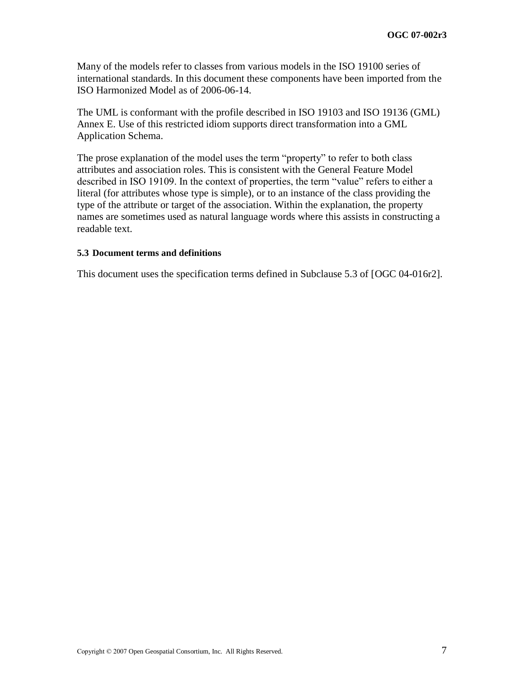Many of the models refer to classes from various models in the ISO 19100 series of international standards. In this document these components have been imported from the ISO Harmonized Model as of 2006-06-14.

The UML is conformant with the profile described in ISO 19103 and ISO 19136 (GML) Annex E. Use of this restricted idiom supports direct transformation into a GML Application Schema.

The prose explanation of the model uses the term "property" to refer to both class attributes and association roles. This is consistent with the General Feature Model described in ISO 19109. In the context of properties, the term "value" refers to either a literal (for attributes whose type is simple), or to an instance of the class providing the type of the attribute or target of the association. Within the explanation, the property names are sometimes used as natural language words where this assists in constructing a readable text.

#### **5.3 Document terms and definitions**

This document uses the specification terms defined in Subclause 5.3 of [OGC 04-016r2].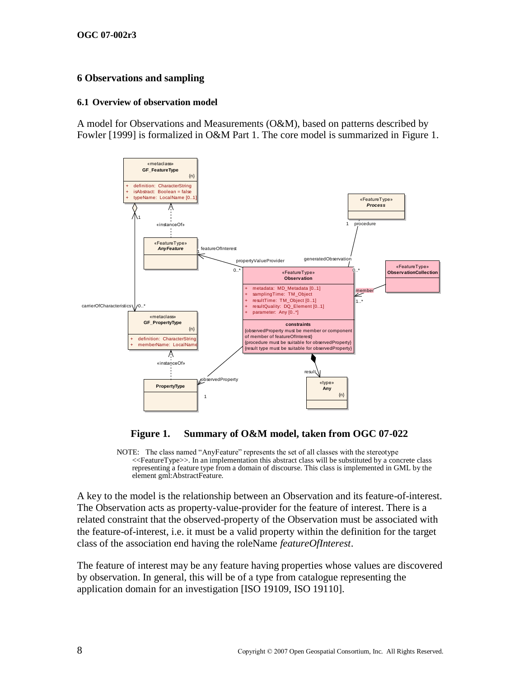# **6 Observations and sampling**

#### **6.1 Overview of observation model**

A model for Observations and Measurements (O&M), based on patterns described by Fowler [1999] is formalized in O&M Part 1. The core model is summarized in [Figure 1.](#page-17-0)



# **Figure 1. Summary of O&M model, taken from OGC 07-022**

<span id="page-17-0"></span>NOTE: The class named "AnyFeature" represents the set of all classes with the stereotype <<FeatureType>>. In an implementation this abstract class will be substituted by a concrete class representing a feature type from a domain of discourse. This class is implemented in GML by the element gml:AbstractFeature.

A key to the model is the relationship between an Observation and its feature-of-interest. The Observation acts as property-value-provider for the feature of interest. There is a related constraint that the observed-property of the Observation must be associated with the feature-of-interest, i.e. it must be a valid property within the definition for the target class of the association end having the roleName *featureOfInterest*.

The feature of interest may be any feature having properties whose values are discovered by observation. In general, this will be of a type from catalogue representing the application domain for an investigation [ISO 19109, ISO 19110].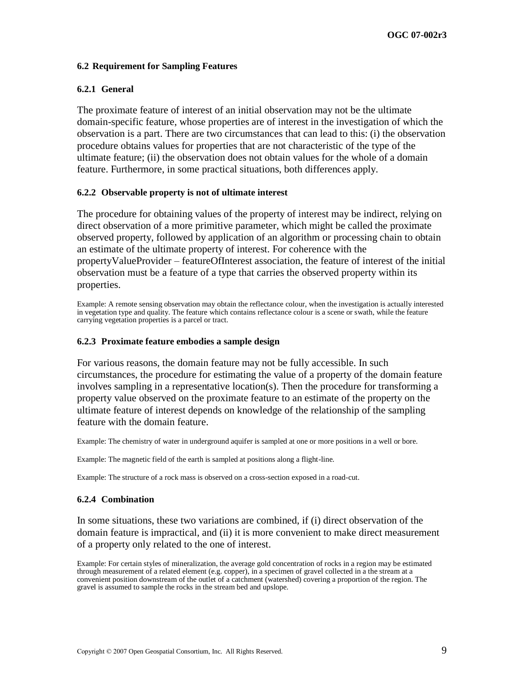#### <span id="page-18-1"></span>**6.2 Requirement for Sampling Features**

#### **6.2.1 General**

The proximate feature of interest of an initial observation may not be the ultimate domain-specific feature, whose properties are of interest in the investigation of which the observation is a part. There are two circumstances that can lead to this: (i) the observation procedure obtains values for properties that are not characteristic of the type of the ultimate feature; (ii) the observation does not obtain values for the whole of a domain feature. Furthermore, in some practical situations, both differences apply.

#### <span id="page-18-0"></span>**6.2.2 Observable property is not of ultimate interest**

The procedure for obtaining values of the property of interest may be indirect, relying on direct observation of a more primitive parameter, which might be called the proximate observed property, followed by application of an algorithm or processing chain to obtain an estimate of the ultimate property of interest. For coherence with the propertyValueProvider – featureOfInterest association, the feature of interest of the initial observation must be a feature of a type that carries the observed property within its properties.

Example: A remote sensing observation may obtain the reflectance colour, when the investigation is actually interested in vegetation type and quality. The feature which contains reflectance colour is a scene or swath, while the feature carrying vegetation properties is a parcel or tract.

#### **6.2.3 Proximate feature embodies a sample design**

For various reasons, the domain feature may not be fully accessible. In such circumstances, the procedure for estimating the value of a property of the domain feature involves sampling in a representative location(s). Then the procedure for transforming a property value observed on the proximate feature to an estimate of the property on the ultimate feature of interest depends on knowledge of the relationship of the sampling feature with the domain feature.

Example: The chemistry of water in underground aquifer is sampled at one or more positions in a well or bore.

Example: The magnetic field of the earth is sampled at positions along a flight-line.

Example: The structure of a rock mass is observed on a cross-section exposed in a road-cut.

#### **6.2.4 Combination**

In some situations, these two variations are combined, if (i) direct observation of the domain feature is impractical, and (ii) it is more convenient to make direct measurement of a property only related to the one of interest.

Example: For certain styles of mineralization, the average gold concentration of rocks in a region may be estimated through measurement of a related element (e.g. copper), in a specimen of gravel collected in a the stream at a convenient position downstream of the outlet of a catchment (watershed) covering a proportion of the region. The gravel is assumed to sample the rocks in the stream bed and upslope.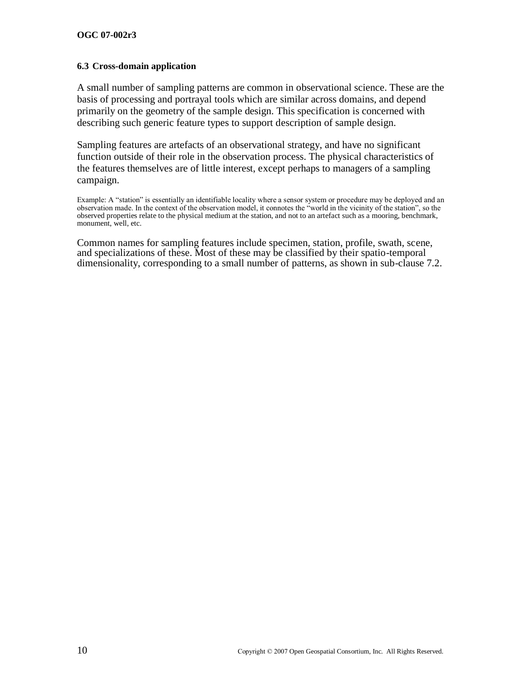#### **6.3 Cross-domain application**

A small number of sampling patterns are common in observational science. These are the basis of processing and portrayal tools which are similar across domains, and depend primarily on the geometry of the sample design. This specification is concerned with describing such generic feature types to support description of sample design.

Sampling features are artefacts of an observational strategy, and have no significant function outside of their role in the observation process. The physical characteristics of the features themselves are of little interest, except perhaps to managers of a sampling campaign.

Example: A "station" is essentially an identifiable locality where a sensor system or procedure may be deployed and an observation made. In the context of the observation model, it connotes the "world in the vicinity of the station", so the observed properties relate to the physical medium at the station, and not to an artefact such as a mooring, benchmark, monument, well, etc.

Common names for sampling features include specimen, station, profile, swath, scene, and specializations of these. Most of these may be classified by their spatio-temporal dimensionality, corresponding to a small number of patterns, as shown in sub-clause [7.2.](#page-22-1)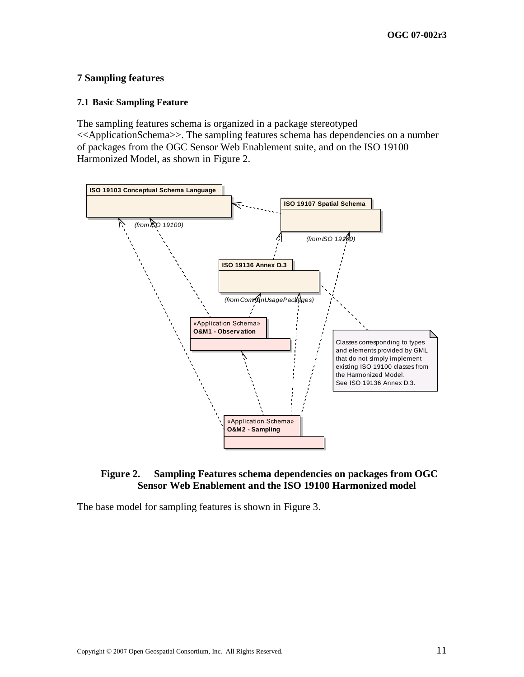### <span id="page-20-1"></span>**7 Sampling features**

#### <span id="page-20-2"></span>**7.1 Basic Sampling Feature**

The sampling features schema is organized in a package stereotyped <<ApplicationSchema>>. The sampling features schema has dependencies on a number of packages from the OGC Sensor Web Enablement suite, and on the ISO 19100 Harmonized Model, as shown in [Figure 2.](#page-20-0)



#### <span id="page-20-0"></span>**Figure 2. Sampling Features schema dependencies on packages from OGC Sensor Web Enablement and the ISO 19100 Harmonized model**

The base model for sampling features is shown in [Figure 3.](#page-21-0)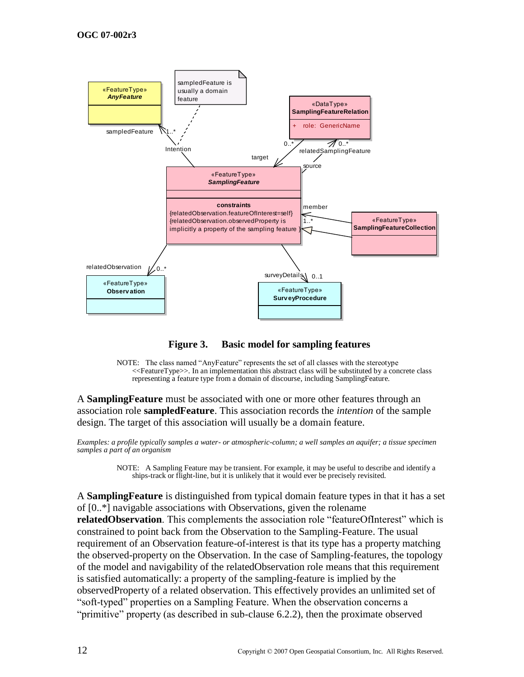

**Figure 3. Basic model for sampling features** 

<span id="page-21-0"></span>NOTE: The class named "AnyFeature" represents the set of all classes with the stereotype <<FeatureType>>. In an implementation this abstract class will be substituted by a concrete class representing a feature type from a domain of discourse, including SamplingFeature.

A **SamplingFeature** must be associated with one or more other features through an association role **sampledFeature**. This association records the *intention* of the sample design. The target of this association will usually be a domain feature.

*Examples: a profile typically samples a water- or atmospheric-column; a well samples an aquifer; a tissue specimen samples a part of an organism*

> NOTE: A Sampling Feature may be transient. For example, it may be useful to describe and identify a ships-track or flight-line, but it is unlikely that it would ever be precisely revisited.

A **SamplingFeature** is distinguished from typical domain feature types in that it has a set of [0..\*] navigable associations with Observations, given the rolename **relatedObservation**. This complements the association role "featureOfInterest" which is constrained to point back from the Observation to the Sampling-Feature. The usual requirement of an Observation feature-of-interest is that its type has a property matching the observed-property on the Observation. In the case of Sampling-features, the topology of the model and navigability of the relatedObservation role means that this requirement is satisfied automatically: a property of the sampling-feature is implied by the observedProperty of a related observation. This effectively provides an unlimited set of ―soft-typed‖ properties on a Sampling Feature. When the observation concerns a "primitive" property (as described in sub-clause  $6.2.2$ ), then the proximate observed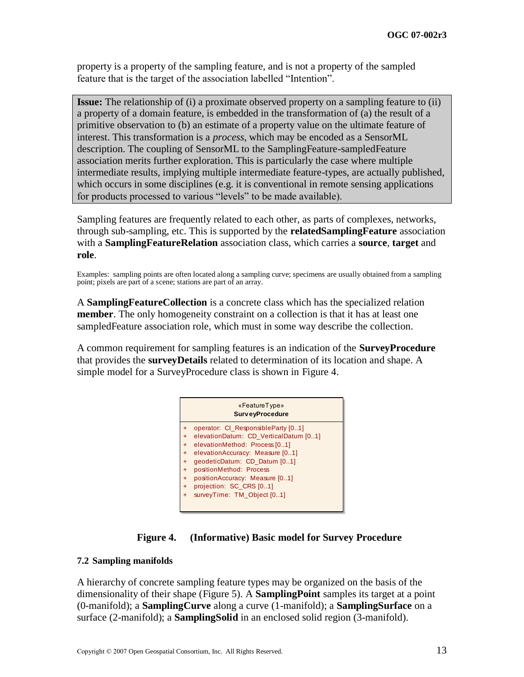property is a property of the sampling feature, and is not a property of the sampled feature that is the target of the association labelled "Intention".

**Issue:** The relationship of (i) a proximate observed property on a sampling feature to (ii) a property of a domain feature, is embedded in the transformation of (a) the result of a primitive observation to (b) an estimate of a property value on the ultimate feature of interest. This transformation is a *process*, which may be encoded as a SensorML description. The coupling of SensorML to the SamplingFeature-sampledFeature association merits further exploration. This is particularly the case where multiple intermediate results, implying multiple intermediate feature-types, are actually published, which occurs in some disciplines (e.g. it is conventional in remote sensing applications for products processed to various "levels" to be made available).

Sampling features are frequently related to each other, as parts of complexes, networks, through sub-sampling, etc. This is supported by the **relatedSamplingFeature** association with a **SamplingFeatureRelation** association class, which carries a **source**, **target** and **role**.

Examples: sampling points are often located along a sampling curve; specimens are usually obtained from a sampling point; pixels are part of a scene; stations are part of an array.

A **SamplingFeatureCollection** is a concrete class which has the specialized relation **member**. The only homogeneity constraint on a collection is that it has at least one sampledFeature association role, which must in some way describe the collection.

A common requirement for sampling features is an indication of the **SurveyProcedure** that provides the **surveyDetails** related to determination of its location and shape. A simple model for a SurveyProcedure class is shown in [Figure 4.](#page-22-0)

|           | «FeatureType»<br><b>SurveyProcedure</b> |
|-----------|-----------------------------------------|
| ÷         | operator: CI_ResponsibleParty [01]      |
| $\ddot{}$ | elevationDatum: CD VerticalDatum [01]   |
| $+$       | elevationMethod: Process [01]           |
| $+$       | elevationAccuracy: Measure [01]         |
| $\ddot{}$ | geodeticDatum: CD_Datum [01]            |
| $\ddot{}$ | positionMethod: Process                 |
| $\ddot{}$ | positionAccuracy: Measure [01]          |
| $+$       | projection: SC_CRS [01]                 |
| $\ddot{}$ | surveyTime: TM Object [01]              |
|           |                                         |

### **Figure 4. (Informative) Basic model for Survey Procedure**

#### <span id="page-22-1"></span><span id="page-22-0"></span>**7.2 Sampling manifolds**

A hierarchy of concrete sampling feature types may be organized on the basis of the dimensionality of their shape [\(Figure 5\)](#page-23-0). A **SamplingPoint** samples its target at a point (0-manifold); a **SamplingCurve** along a curve (1-manifold); a **SamplingSurface** on a surface (2-manifold); a **SamplingSolid** in an enclosed solid region (3-manifold).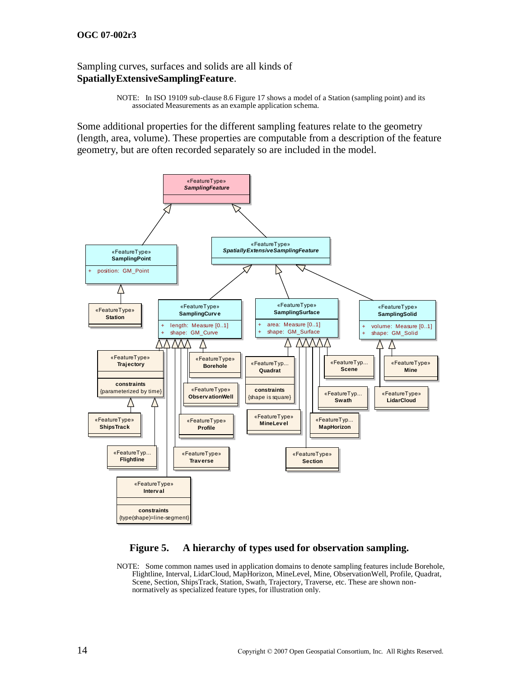#### **OGC 07-002r3**

#### Sampling curves, surfaces and solids are all kinds of **SpatiallyExtensiveSamplingFeature**.

NOTE: In ISO 19109 sub-clause 8.6 Figure 17 shows a model of a Station (sampling point) and its associated Measurements as an example application schema.

Some additional properties for the different sampling features relate to the geometry (length, area, volume). These properties are computable from a description of the feature geometry, but are often recorded separately so are included in the model.



### **Figure 5. A hierarchy of types used for observation sampling.**

<span id="page-23-0"></span>NOTE: Some common names used in application domains to denote sampling features include Borehole, Flightline, Interval, LidarCloud, MapHorizon, MineLevel, Mine, ObservationWell, Profile, Quadrat, Scene, Section, ShipsTrack, Station, Swath, Trajectory, Traverse, etc. These are shown nonnormatively as specialized feature types, for illustration only.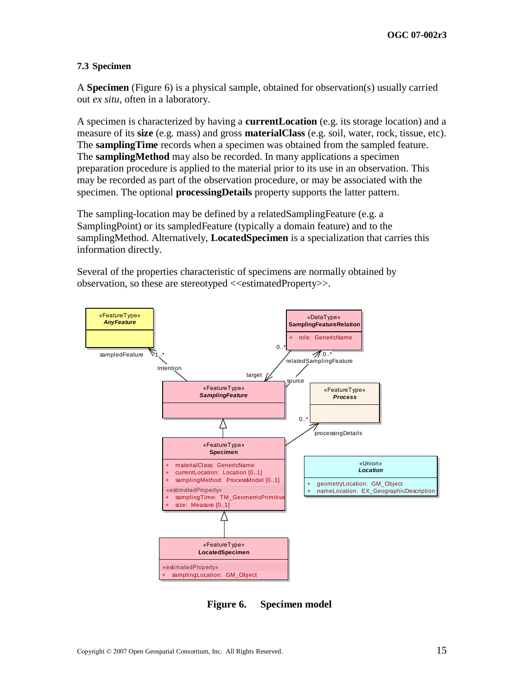#### <span id="page-24-1"></span>**7.3 Specimen**

A **Specimen** [\(Figure 6\)](#page-24-0) is a physical sample, obtained for observation(s) usually carried out *ex situ,* often in a laboratory.

A specimen is characterized by having a **currentLocation** (e.g. its storage location) and a measure of its **size** (e.g. mass) and gross **materialClass** (e.g. soil, water, rock, tissue, etc). The **samplingTime** records when a specimen was obtained from the sampled feature. The **samplingMethod** may also be recorded. In many applications a specimen preparation procedure is applied to the material prior to its use in an observation. This may be recorded as part of the observation procedure, or may be associated with the specimen. The optional **processingDetails** property supports the latter pattern.

The sampling-location may be defined by a relatedSamplingFeature (e.g. a SamplingPoint) or its sampledFeature (typically a domain feature) and to the samplingMethod. Alternatively, **LocatedSpecimen** is a specialization that carries this information directly.

Several of the properties characteristic of specimens are normally obtained by observation, so these are stereotyped <<estimatedProperty>>.



<span id="page-24-0"></span>**Figure 6. Specimen model**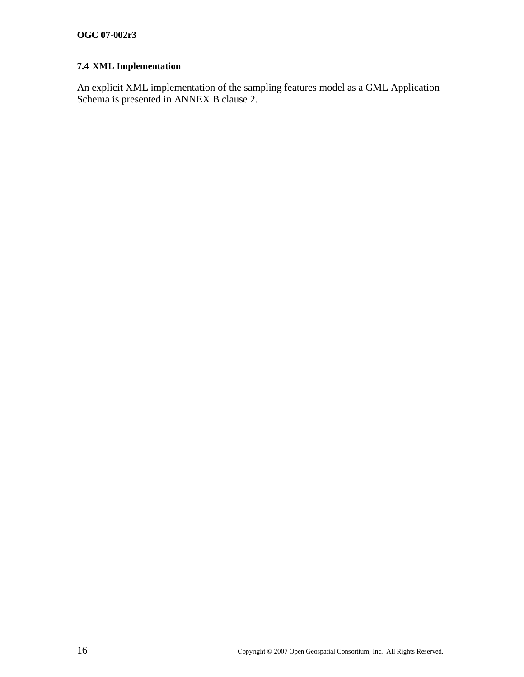# **7.4 XML Implementation**

An explicit XML implementation of the sampling features model as a GML Application Schema is presented in [ANNEX B](#page-30-0) clause [2.](#page-30-1)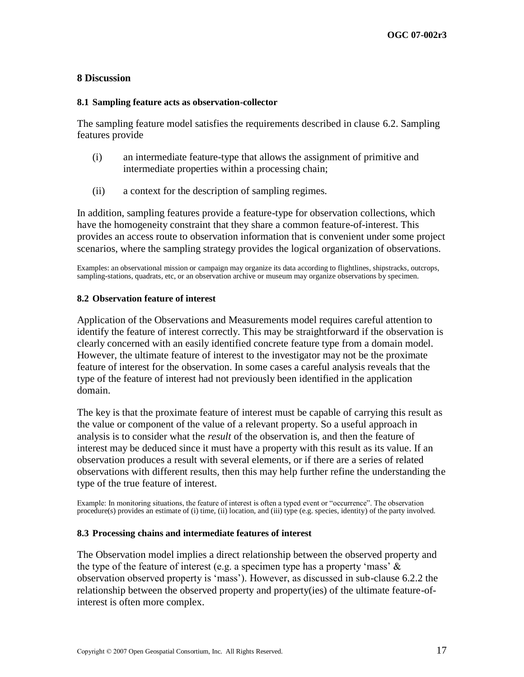#### **8 Discussion**

#### **8.1 Sampling feature acts as observation-collector**

The sampling feature model satisfies the requirements described in clause [6.2.](#page-18-1) Sampling features provide

- (i) an intermediate feature-type that allows the assignment of primitive and intermediate properties within a processing chain;
- (ii) a context for the description of sampling regimes.

In addition, sampling features provide a feature-type for observation collections, which have the homogeneity constraint that they share a common feature-of-interest. This provides an access route to observation information that is convenient under some project scenarios, where the sampling strategy provides the logical organization of observations.

Examples: an observational mission or campaign may organize its data according to flightlines, shipstracks, outcrops, sampling-stations, quadrats, etc, or an observation archive or museum may organize observations by specimen.

#### **8.2 Observation feature of interest**

Application of the Observations and Measurements model requires careful attention to identify the feature of interest correctly. This may be straightforward if the observation is clearly concerned with an easily identified concrete feature type from a domain model. However, the ultimate feature of interest to the investigator may not be the proximate feature of interest for the observation. In some cases a careful analysis reveals that the type of the feature of interest had not previously been identified in the application domain.

The key is that the proximate feature of interest must be capable of carrying this result as the value or component of the value of a relevant property. So a useful approach in analysis is to consider what the *result* of the observation is, and then the feature of interest may be deduced since it must have a property with this result as its value. If an observation produces a result with several elements, or if there are a series of related observations with different results, then this may help further refine the understanding the type of the true feature of interest.

Example: In monitoring situations, the feature of interest is often a typed event or "occurrence". The observation procedure(s) provides an estimate of (i) time, (ii) location, and (iii) type (e.g. species, identity) of the party involved.

#### **8.3 Processing chains and intermediate features of interest**

The Observation model implies a direct relationship between the observed property and the type of the feature of interest (e.g. a specimen type has a property 'mass'  $\&$ observation observed property is ‗mass'). However, as discussed in sub-clause [6.2.2](#page-18-0) the relationship between the observed property and property(ies) of the ultimate feature-ofinterest is often more complex.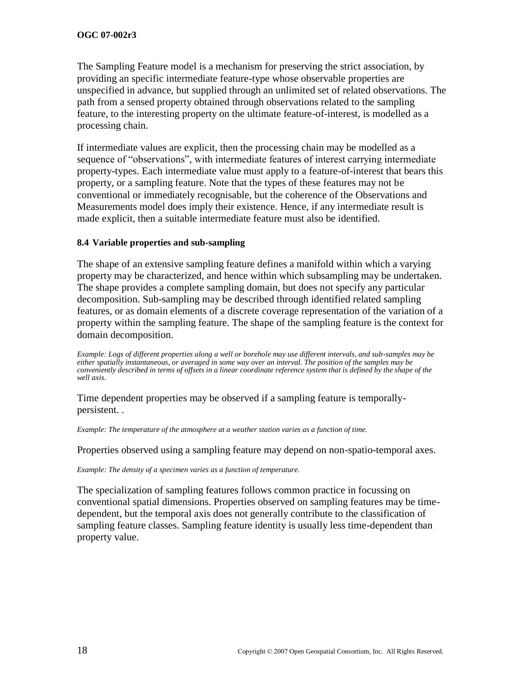The Sampling Feature model is a mechanism for preserving the strict association, by providing an specific intermediate feature-type whose observable properties are unspecified in advance, but supplied through an unlimited set of related observations. The path from a sensed property obtained through observations related to the sampling feature, to the interesting property on the ultimate feature-of-interest, is modelled as a processing chain.

If intermediate values are explicit, then the processing chain may be modelled as a sequence of "observations", with intermediate features of interest carrying intermediate property-types. Each intermediate value must apply to a feature-of-interest that bears this property, or a sampling feature. Note that the types of these features may not be conventional or immediately recognisable, but the coherence of the Observations and Measurements model does imply their existence. Hence, if any intermediate result is made explicit, then a suitable intermediate feature must also be identified.

# **8.4 Variable properties and sub-sampling**

The shape of an extensive sampling feature defines a manifold within which a varying property may be characterized, and hence within which subsampling may be undertaken. The shape provides a complete sampling domain, but does not specify any particular decomposition. Sub-sampling may be described through identified related sampling features, or as domain elements of a discrete coverage representation of the variation of a property within the sampling feature. The shape of the sampling feature is the context for domain decomposition.

*Example: Logs of different properties along a well or borehole may use different intervals, and sub-samples may be either spatially instantaneous, or averaged in some way over an interval. The position of the samples may be conveniently described in terms of offsets in a linear coordinate reference system that is defined by the shape of the well axis.* 

Time dependent properties may be observed if a sampling feature is temporallypersistent. .

*Example: The temperature of the atmosphere at a weather station varies as a function of time.*

Properties observed using a sampling feature may depend on non-spatio-temporal axes.

*Example: The density of a specimen varies as a function of temperature.*

The specialization of sampling features follows common practice in focussing on conventional spatial dimensions. Properties observed on sampling features may be timedependent, but the temporal axis does not generally contribute to the classification of sampling feature classes. Sampling feature identity is usually less time-dependent than property value.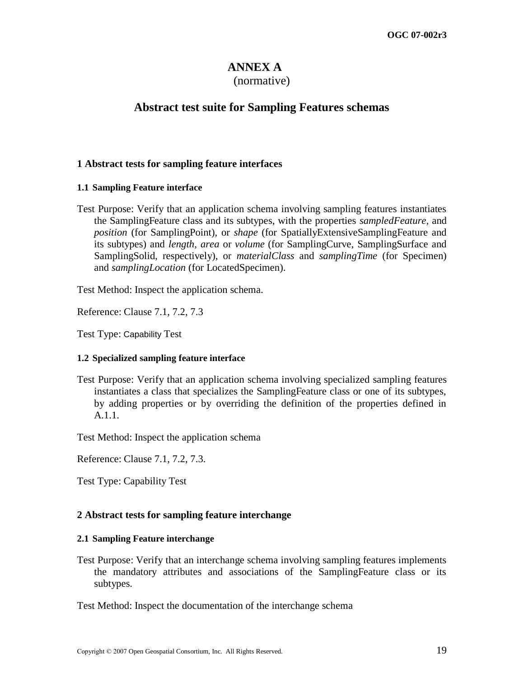# **ANNEX A**

### (normative)

# <span id="page-28-0"></span>**Abstract test suite for Sampling Features schemas**

### **1 Abstract tests for sampling feature interfaces**

#### **1.1 Sampling Feature interface**

Test Purpose: Verify that an application schema involving sampling features instantiates the SamplingFeature class and its subtypes, with the properties *sampledFeature,* and *position* (for SamplingPoint), or *shape* (for SpatiallyExtensiveSamplingFeature and its subtypes) and *length*, *area* or *volume* (for SamplingCurve, SamplingSurface and SamplingSolid, respectively), or *materialClass* and *samplingTime* (for Specimen) and *samplingLocation* (for LocatedSpecimen).

Test Method: Inspect the application schema.

Reference: Clause 7.1, 7.2, 7.3

Test Type: Capability Test

### **1.2 Specialized sampling feature interface**

Test Purpose: Verify that an application schema involving specialized sampling features instantiates a class that specializes the SamplingFeature class or one of its subtypes, by adding properties or by overriding the definition of the properties defined in A.1.1.

Test Method: Inspect the application schema

Reference: Clause 7.1, 7.2, 7.3.

Test Type: Capability Test

### **2 Abstract tests for sampling feature interchange**

#### **2.1 Sampling Feature interchange**

Test Purpose: Verify that an interchange schema involving sampling features implements the mandatory attributes and associations of the SamplingFeature class or its subtypes.

Test Method: Inspect the documentation of the interchange schema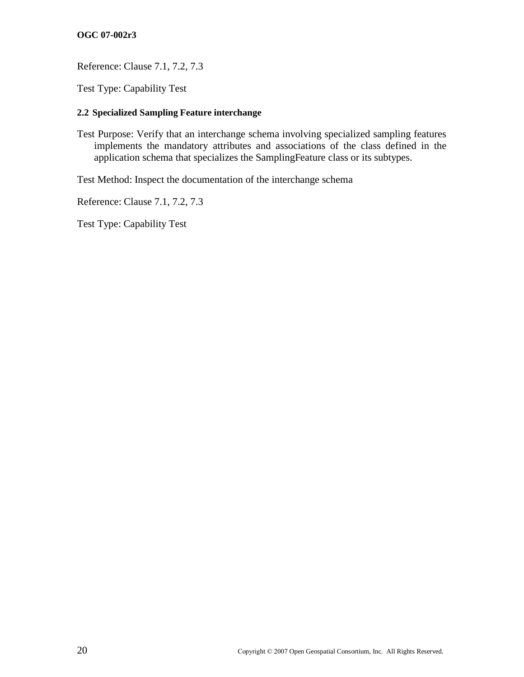### **OGC 07-002r3**

Reference: Clause 7.1, 7.2, 7.3

Test Type: Capability Test

### **2.2 Specialized Sampling Feature interchange**

Test Purpose: Verify that an interchange schema involving specialized sampling features implements the mandatory attributes and associations of the class defined in the application schema that specializes the SamplingFeature class or its subtypes.

Test Method: Inspect the documentation of the interchange schema

Reference: Clause 7.1, 7.2, 7.3

Test Type: Capability Test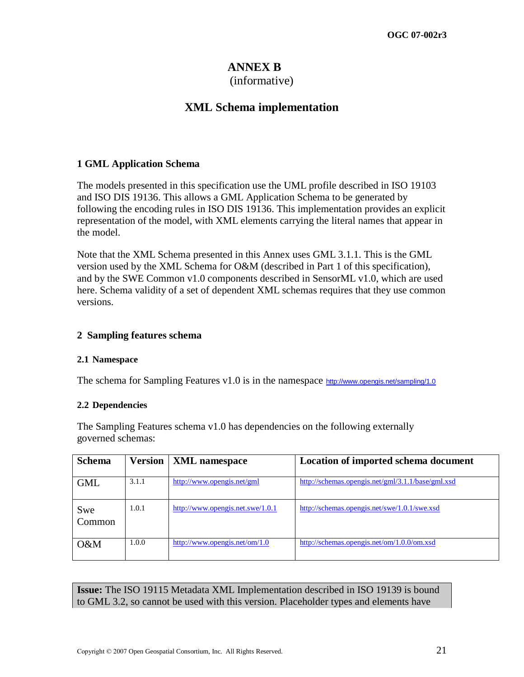# **ANNEX B**

### (informative)

# **XML Schema implementation**

# <span id="page-30-0"></span>**1 GML Application Schema**

The models presented in this specification use the UML profile described in ISO 19103 and ISO DIS 19136. This allows a GML Application Schema to be generated by following the encoding rules in ISO DIS 19136. This implementation provides an explicit representation of the model, with XML elements carrying the literal names that appear in the model.

Note that the XML Schema presented in this Annex uses GML 3.1.1. This is the GML version used by the XML Schema for O&M (described in Part 1 of this specification), and by the SWE Common v1.0 components described in SensorML v1.0, which are used here. Schema validity of a set of dependent XML schemas requires that they use common versions.

# <span id="page-30-1"></span>**2 Sampling features schema**

### **2.1 Namespace**

The schema for Sampling Features v1.0 is in the namespace <http://www.opengis.net/sampling/1.0>

### **2.2 Dependencies**

The Sampling Features schema v1.0 has dependencies on the following externally governed schemas:

| <b>Schema</b> | <b>Version</b> | <b>XML</b> namespace             | Location of imported schema document              |
|---------------|----------------|----------------------------------|---------------------------------------------------|
| <b>GML</b>    | 3.1.1          | http://www.opengis.net/gml       | http://schemas.opengis.net/gml/3.1.1/base/gml.xsd |
| Swe<br>Common | 1.0.1          | http://www.opengis.net.swe/1.0.1 | http://schemas.opengis.net/swe/1.0.1/swe.xsd      |
| O&M           | 1.0.0          | http://www.opengis.net/om/1.0    | http://schemas.opengis.net/om/1.0.0/om.xsd        |

**Issue:** The ISO 19115 Metadata XML Implementation described in ISO 19139 is bound to GML 3.2, so cannot be used with this version. Placeholder types and elements have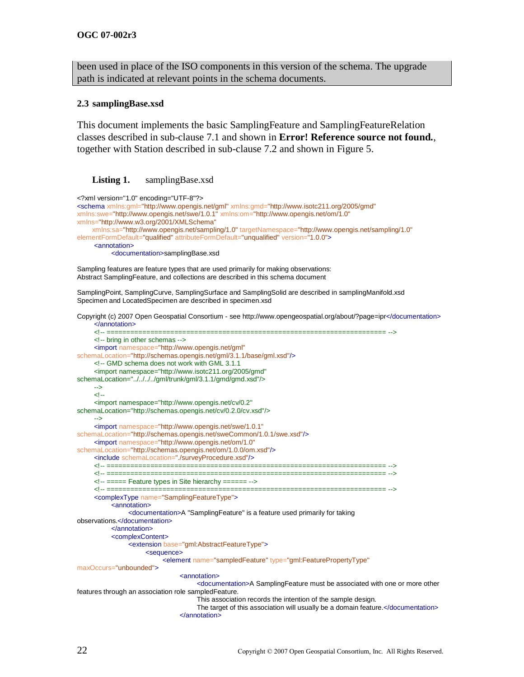been used in place of the ISO components in this version of the schema. The upgrade path is indicated at relevant points in the schema documents.

#### **2.3 samplingBase.xsd**

This document implements the basic SamplingFeature and SamplingFeatureRelation classes described in sub-clause [7.1](#page-20-2) and shown in **Error! Reference source not found.**, together with Station described in sub-clause [7.2](#page-22-1) and shown in [Figure 5.](#page-23-0)

#### <span id="page-31-0"></span>Listing 1. samplingBase.xsd

```
<?xml version="1.0" encoding="UTF-8"?>
<schema xmlns:gml="http://www.opengis.net/gml" xmlns:gmd="http://www.isotc211.org/2005/gmd"
xmlns:swe="http://www.opengis.net/swe/1.0.1" xmlns:om="http://www.opengis.net/om/1.0"
xmlns="http://www.w3.org/2001/XMLSchema"
     xmlns:sa="http://www.opengis.net/sampling/1.0" targetNamespace="http://www.opengis.net/sampling/1.0"
elementFormDefault="qualified" attributeFormDefault="unqualified" version="1.0.0">
     <annotation>
          <documentation>samplingBase.xsd
Sampling features are feature types that are used primarily for making observations: 
Abstract SamplingFeature, and collections are described in this schema document
SamplingPoint, SamplingCurve, SamplingSurface and SamplingSolid are described in samplingManifold.xsd
Specimen and LocatedSpecimen are described in specimen.xsd
Copyright (c) 2007 Open Geospatial Consortium - see http://www.opengeospatial.org/about/?page=ipr</documentation>
     </annotation>
     <!-- ====================================================================== -->
     <!-- bring in other schemas -->
     <import namespace="http://www.opengis.net/gml"
schemaLocation="http://schemas.opengis.net/gml/3.1.1/base/gml.xsd"/>
     <!-- GMD schema does not work with GML 3.1.1
     <import namespace="http://www.isotc211.org/2005/gmd" 
schemaLocation="../../../../gml/trunk/gml/3.1.1/gmd/gmd.xsd"/>
     -->
     -- اے
     <import namespace="http://www.opengis.net/cv/0.2" 
schemaLocation="http://schemas.opengis.net/cv/0.2.0/cv.xsd"/>
     -->
     <import namespace="http://www.opengis.net/swe/1.0.1"
schemaLocation="http://schemas.opengis.net/sweCommon/1.0.1/swe.xsd"/>
     <import namespace="http://www.opengis.net/om/1.0"
schemaLocation="http://schemas.opengis.net/om/1.0.0/om.xsd"/>
     <include schemaLocation="./surveyProcedure.xsd"/>
     <!-- ====================================================================== -->
     <!-- ====================================================================== -->
     <!-- ===== Feature types in Site hierarchy ====== -->
     <!-- =================================
     <complexType name="SamplingFeatureType">
          <annotation>
               <documentation>A "SamplingFeature" is a feature used primarily for taking 
observations.</documentation>
          </annotation>
          <complexContent>
               <extension base="gml:AbstractFeatureType">
                     <sequence>
                          <element name="sampledFeature" type="gml:FeaturePropertyType"
maxOccurs="unbounded">
                               <annotation>
                                     <documentation>A SamplingFeature must be associated with one or more other 
features through an association role sampledFeature. 
                                     This association records the intention of the sample design. 
                                    The target of this association will usually be a domain feature.</documentation>
                               </annotation>
```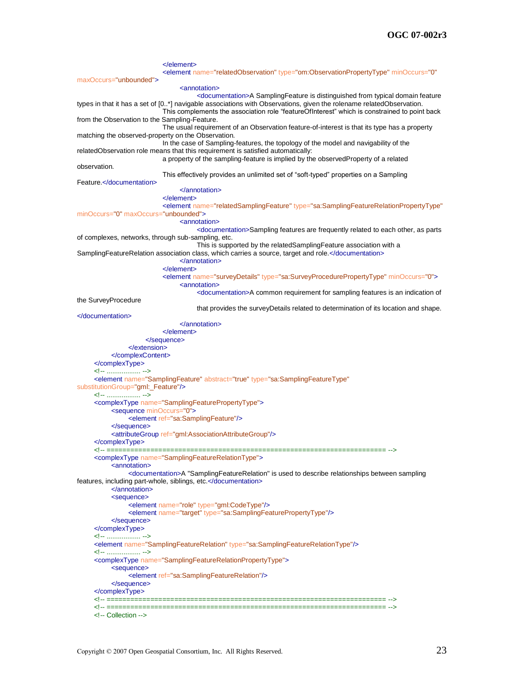</element> <element name="relatedObservation" type="om:ObservationPropertyType" minOccurs="0" maxOccurs="unbounded"> <annotation> <documentation>A SamplingFeature is distinguished from typical domain feature types in that it has a set of [0..\*] navigable associations with Observations, given the rolename relatedObservation. This complements the association role "featureOfInterest" which is constrained to point back from the Observation to the Sampling-Feature. The usual requirement of an Observation feature-of-interest is that its type has a property matching the observed-property on the Observation. In the case of Sampling-features, the topology of the model and navigability of the relatedObservation role means that this requirement is satisfied automatically: a property of the sampling-feature is implied by the observedProperty of a related observation. This effectively provides an unlimited set of "soft-typed" properties on a Sampling Feature.</documentation> </annotation> </element> <element name="relatedSamplingFeature" type="sa:SamplingFeatureRelationPropertyType" minOccurs="0" maxOccurs="unbounded"> <annotation> <documentation>Sampling features are frequently related to each other, as parts of complexes, networks, through sub-sampling, etc. This is supported by the relatedSamplingFeature association with a SamplingFeatureRelation association class, which carries a source, target and role.</documentation> </annotation> </element> <element name="surveyDetails" type="sa:SurveyProcedurePropertyType" minOccurs="0"> <annotation> <documentation>A common requirement for sampling features is an indication of the SurveyProcedure that provides the surveyDetails related to determination of its location and shape. </documentation> </annotation> </element> </sequence> </extension> </complexContent> </complexType> <!-- .................. --> <element name="SamplingFeature" abstract="true" type="sa:SamplingFeatureType" substitutionGroup="gml: Feature"/> <!-- .................. --> <complexType name="SamplingFeaturePropertyType"> <sequence minOccurs="0"> <element ref="sa:SamplingFeature"/> </sequence> <attributeGroup ref="gml:AssociationAttributeGroup"/> </complexType><br><!-- ========== <!-- ====================================================================== --> <complexType name="SamplingFeatureRelationType"> <annotation> <documentation>A "SamplingFeatureRelation" is used to describe relationships between sampling features, including part-whole, siblings, etc.</documentation> </annotation> <sequence> <element name="role" type="gml:CodeType"/> <element name="target" type="sa:SamplingFeaturePropertyType"/> </sequence> </complexType> <!-- .................. --> <element name="SamplingFeatureRelation" type="sa:SamplingFeatureRelationType"/> <!-- .................. --> <complexType name="SamplingFeatureRelationPropertyType"> <sequence> <element ref="sa:SamplingFeatureRelation"/> </sequence> </complexType> <!-- ====================================================================== --> <!-- ====================================================================== --> <!-- Collection -->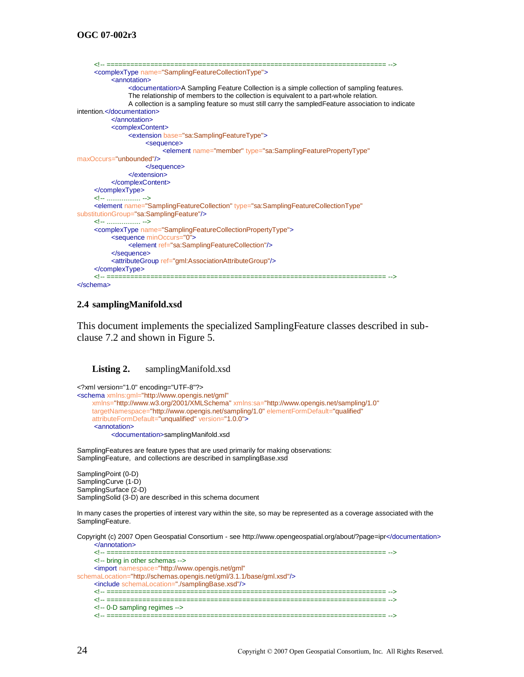```
<!-- ====================================================================== -->
     <complexType name="SamplingFeatureCollectionType">
           <annotation>
                <documentation>A Sampling Feature Collection is a simple collection of sampling features. 
                The relationship of members to the collection is equivalent to a part-whole relation. 
                A collection is a sampling feature so must still carry the sampledFeature association to indicate 
intention.</documentation>
           </annotation>
           <complexContent>
                <extension base="sa:SamplingFeatureType">
                      <sequence>
                           <element name="member" type="sa:SamplingFeaturePropertyType"
maxOccurs="unbounded"/>
                      </sequence>
                </extension>
           </complexContent>
     </complexType>
     <!-- .................. -->
     <element name="SamplingFeatureCollection" type="sa:SamplingFeatureCollectionType"
substitutionGroup="sa:SamplingFeature"/>
     <!-- .................. -->
     <complexType name="SamplingFeatureCollectionPropertyType">
           <sequence minOccurs="0">
                <element ref="sa:SamplingFeatureCollection"/>
           </sequence>
           <attributeGroup ref="gml:AssociationAttributeGroup"/>
     </complexType>
     <!-- ====================================================================== -->
</schema>
```
#### **2.4 samplingManifold.xsd**

This document implements the specialized SamplingFeature classes described in subclause [7.2](#page-22-1) and shown in [Figure 5.](#page-23-0)

#### <span id="page-33-0"></span>**Listing 2.** samplingManifold.xsd

```
<?xml version="1.0" encoding="UTF-8"?>
<schema xmlns:gml="http://www.opengis.net/gml"
     xmlns="http://www.w3.org/2001/XMLSchema" xmlns:sa="http://www.opengis.net/sampling/1.0"
     targetNamespace="http://www.opengis.net/sampling/1.0" elementFormDefault="qualified"
     attributeFormDefault="unqualified" version="1.0.0">
     <annotation>
          <documentation>samplingManifold.xsd
```
SamplingFeatures are feature types that are used primarily for making observations: SamplingFeature, and collections are described in samplingBase.xsd

SamplingPoint (0-D) SamplingCurve (1-D) SamplingSurface (2-D) SamplingSolid (3-D) are described in this schema document

In many cases the properties of interest vary within the site, so may be represented as a coverage associated with the SamplingFeature.

Copyright (c) 2007 Open Geospatial Consortium - see http://www.opengeospatial.org/about/?page=ipr</documentation> </annotation>

```
<!-- ====================================================================== -->
    <!-- bring in other schemas -->
    <import namespace="http://www.opengis.net/gml"
schemaLocation="http://schemas.opengis.net/gml/3.1.1/base/gml.xsd"/>
    <include schemaLocation="./samplingBase.xsd"/>
    <!-- ====================================================================== -->
    <!-- ====================================================================== -->
    <!-- 0-D sampling regimes -->
    <!-- ====================================================================== -->
```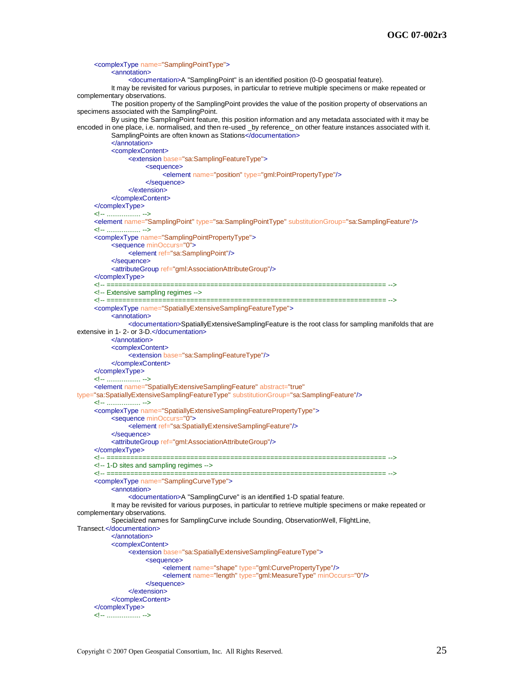<complexType name="SamplingPointType"> <annotation> <documentation>A "SamplingPoint" is an identified position (0-D geospatial feature). It may be revisited for various purposes, in particular to retrieve multiple specimens or make repeated or complementary observations. The position property of the SamplingPoint provides the value of the position property of observations an specimens associated with the SamplingPoint. By using the SamplingPoint feature, this position information and any metadata associated with it may be encoded in one place, i.e. normalised, and then re-used \_by reference\_ on other feature instances associated with it. SamplingPoints are often known as Stations</documentation> </annotation> <complexContent> <extension base="sa:SamplingFeatureType"> <sequence> <element name="position" type="gml:PointPropertyType"/> </sequence> </extension> </complexContent> </complexType> <!-- .................. --> <element name="SamplingPoint" type="sa:SamplingPointType" substitutionGroup="sa:SamplingFeature"/> <!-- .................. --> <complexType name="SamplingPointPropertyType"> <sequence minOccurs="0"> <element ref="sa:SamplingPoint"/> </sequence> <attributeGroup ref="gml:AssociationAttributeGroup"/> </complexType> <!-- ====================================================================== --> <!-- Extensive sampling regimes --> <!-- ====================================================================== --> <complexType name="SpatiallyExtensiveSamplingFeatureType"> <annotation> <documentation>SpatiallyExtensiveSamplingFeature is the root class for sampling manifolds that are extensive in 1- 2- or 3-D.</documentation> </annotation> <complexContent> <extension base="sa:SamplingFeatureType"/> </complexContent> </complexType> <!-- .................. --> <element name="SpatiallyExtensiveSamplingFeature" abstract="true" type="sa:SpatiallyExtensiveSamplingFeatureType" substitutionGroup="sa:SamplingFeature"/> <!-- .................. --> <complexType name="SpatiallyExtensiveSamplingFeaturePropertyType"> <sequence minOccurs="0"> <element ref="sa:SpatiallyExtensiveSamplingFeature"/> </sequence> <attributeGroup ref="gml:AssociationAttributeGroup"/> </complexType> <!-- ====================================================================== --> <!-- 1-D sites and sampling regimes --> <!-- ====================================================================== --> <complexType name="SamplingCurveType"> <annotation> <documentation>A "SamplingCurve" is an identified 1-D spatial feature. It may be revisited for various purposes, in particular to retrieve multiple specimens or make repeated or complementary observations. Specialized names for SamplingCurve include Sounding, ObservationWell, FlightLine, Transect.</documentation> </annotation> <complexContent> <extension base="sa:SpatiallyExtensiveSamplingFeatureType"> <sequence> <element name="shape" type="gml:CurvePropertyType"/> <element name="length" type="gml:MeasureType" minOccurs="0"/> </sequence> </extension> </complexContent> </complexType> <!-- .................. -->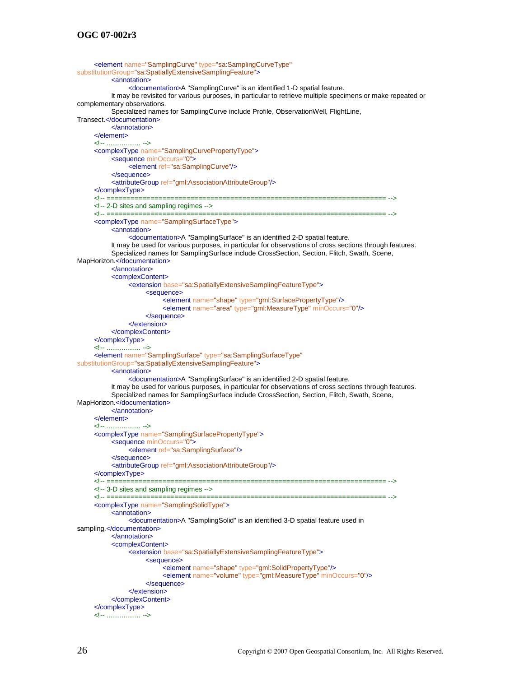```
<element name="SamplingCurve" type="sa:SamplingCurveType"
substitutionGroup="sa:SpatiallyExtensiveSamplingFeature">
          <annotation>
               <documentation>A "SamplingCurve" is an identified 1-D spatial feature. 
          It may be revisited for various purposes, in particular to retrieve multiple specimens or make repeated or 
complementary observations.
          Specialized names for SamplingCurve include Profile, ObservationWell, FlightLine, 
Transect.</documentation>
          </annotation>
     </element>
     <!-- .................. -->
     <complexType name="SamplingCurvePropertyType">
          <sequence minOccurs="0">
               <element ref="sa:SamplingCurve"/>
          </sequence>
          <attributeGroup ref="gml:AssociationAttributeGroup"/>
     </complexType>
     <!-- ====================================================================== -->
     <!-- 2-D sites and sampling regimes -->
     <!-- ====================================================================== -->
     <complexType name="SamplingSurfaceType">
          <annotation>
               <documentation>A "SamplingSurface" is an identified 2-D spatial feature. 
          It may be used for various purposes, in particular for observations of cross sections through features.
          Specialized names for SamplingSurface include CrossSection, Section, Flitch, Swath, Scene, 
MapHorizon.</documentation>
          </annotation>
          <complexContent>
               <extension base="sa:SpatiallyExtensiveSamplingFeatureType">
                     <sequence>
                          <element name="shape" type="gml:SurfacePropertyType"/>
                          <element name="area" type="gml:MeasureType" minOccurs="0"/>
                     </sequence>
               </extension>
          </complexContent>
     </complexType>
     <!-- .................. -->
     <element name="SamplingSurface" type="sa:SamplingSurfaceType"
substitutionGroup="sa:SpatiallyExtensiveSamplingFeature">
          <annotation>
               <documentation>A "SamplingSurface" is an identified 2-D spatial feature. 
          It may be used for various purposes, in particular for observations of cross sections through features.
          Specialized names for SamplingSurface include CrossSection, Section, Flitch, Swath, Scene, 
MapHorizon.</documentation>
          </annotation>
     </element>
     <!-- .................. -->
     <complexType name="SamplingSurfacePropertyType">
          <sequence minOccurs="0">
               <element ref="sa:SamplingSurface"/>
          </sequence>
          <attributeGroup ref="gml:AssociationAttributeGroup"/>
     </complexType>
     <!-- ====================================================================== -->
     <!-- 3-D sites and sampling regimes -->
     <!-- ====================================================================== -->
     <complexType name="SamplingSolidType">
          <annotation>
                <documentation>A "SamplingSolid" is an identified 3-D spatial feature used in 
sampling.</documentation>
          </annotation>
          <complexContent>
                <extension base="sa:SpatiallyExtensiveSamplingFeatureType">
                     <sequence>
                          <element name="shape" type="gml:SolidPropertyType"/>
                          <element name="volume" type="gml:MeasureType" minOccurs="0"/>
                     </sequence>
               </extension>
          </complexContent>
     </complexType>
     <!-- .................. -->
```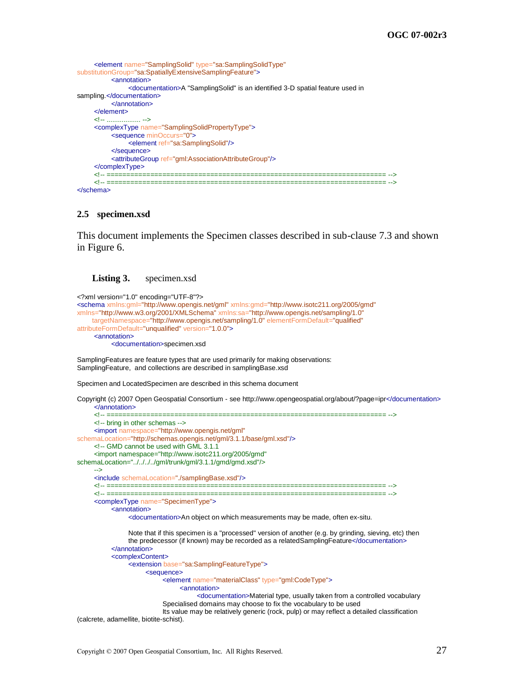```
<element name="SamplingSolid" type="sa:SamplingSolidType"
substitutionGroup="sa:SpatiallyExtensiveSamplingFeature">
         <annotation>
              <documentation>A "SamplingSolid" is an identified 3-D spatial feature used in 
sampling.</documentation>
         </annotation>
     </element>
     <!-- .................. -->
     <complexType name="SamplingSolidPropertyType">
          <sequence minOccurs="0">
              <element ref="sa:SamplingSolid"/>
          </sequence>
          <attributeGroup ref="gml:AssociationAttributeGroup"/>
     </complexType>
     <!-- ====================================================================== -->
     <!-- ====================================================================== -->
</schema>
```
#### **2.5 specimen.xsd**

This document implements the Specimen classes described in sub-clause [7.3](#page-24-1) and shown in [Figure 6.](#page-24-0)

#### <span id="page-36-0"></span>Listing 3. specimen.xsd

```
<?xml version="1.0" encoding="UTF-8"?>
<schema xmlns:gml="http://www.opengis.net/gml" xmlns:gmd="http://www.isotc211.org/2005/gmd"
xmlns="http://www.w3.org/2001/XMLSchema" xmlns:sa="http://www.opengis.net/sampling/1.0"
     targetNamespace="http://www.opengis.net/sampling/1.0" elementFormDefault="qualified"
attributeFormDefault="unqualified" version="1.0.0">
     <annotation>
          <documentation>specimen.xsd
SamplingFeatures are feature types that are used primarily for making observations: 
SamplingFeature, and collections are described in samplingBase.xsd
```
Specimen and LocatedSpecimen are described in this schema document

Copyright (c) 2007 Open Geospatial Consortium - see http://www.opengeospatial.org/about/?page=ipr</documentation> </annotation>

```
<!-- ====================================================================== -->
     <!-- bring in other schemas -->
     <import namespace="http://www.opengis.net/gml"
schemaLocation="http://schemas.opengis.net/gml/3.1.1/base/gml.xsd"/>
     <!-- GMD cannot be used with GML 3.1.1
     <import namespace="http://www.isotc211.org/2005/gmd" 
schemaLocation="../../../../gml/trunk/gml/3.1.1/gmd/gmd.xsd"/>
     -->
     <include schemaLocation="./samplingBase.xsd"/>
     <!-- ====================================================================== -->
      <!-- ====================================================================== -->
     <complexType name="SpecimenType">
           <annotation>
                <documentation>An object on which measurements may be made, often ex-situ.
                Note that if this specimen is a "processed" version of another (e.g. by grinding, sieving, etc) then 
                the predecessor (if known) may be recorded as a relatedSamplingFeature</documentation>
           </annotation>
           <complexContent>
                <extension base="sa:SamplingFeatureType">
                      <sequence>
                           <element name="materialClass" type="gml:CodeType">
                                 <annotation>
                                      <documentation>Material type, usually taken from a controlled vocabulary
                            Specialised domains may choose to fix the vocabulary to be used
                            Its value may be relatively generic (rock, pulp) or may reflect a detailed classification 
(calcrete, adamellite, biotite-schist).
```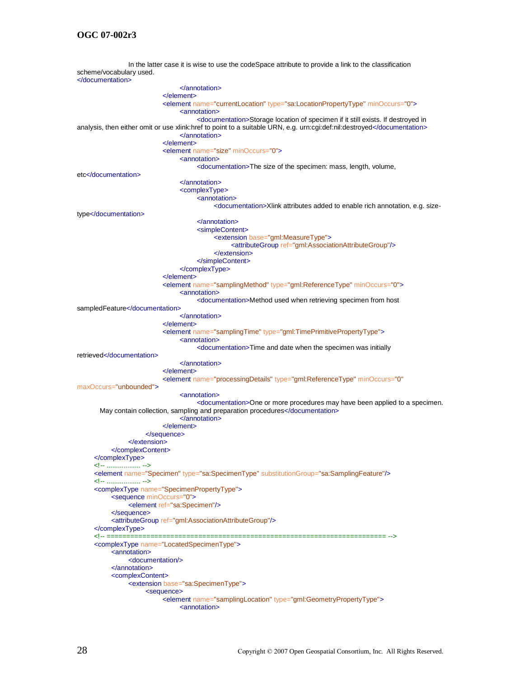In the latter case it is wise to use the codeSpace attribute to provide a link to the classification scheme/vocabulary used. </documentation> </annotation> </element> <element name="currentLocation" type="sa:LocationPropertyType" minOccurs="0"> <annotation> <documentation>Storage location of specimen if it still exists. If destroyed in analysis, then either omit or use xlink:href to point to a suitable URN, e.g. urn:cgi:def:nil:destroyed</documentation> </annotation> </element> <element name="size" minOccurs="0"> <annotation> <documentation>The size of the specimen: mass, length, volume, etc</documentation> </annotation> <complexType> <annotation> <documentation>Xlink attributes added to enable rich annotation, e.g. sizetype</documentation> </annotation> <simpleContent> <extension base="gml:MeasureType"> <attributeGroup ref="gml:AssociationAttributeGroup"/> </extension> </simpleContent> </complexType> </element> <element name="samplingMethod" type="gml:ReferenceType" minOccurs="0"> <annotation> <documentation>Method used when retrieving specimen from host sampledFeature</documentation> </annotation> </element> <element name="samplingTime" type="gml:TimePrimitivePropertyType"> <annotation> <documentation>Time and date when the specimen was initially retrieved</documentation> </annotation> </element> <element name="processingDetails" type="gml:ReferenceType" minOccurs="0" maxOccurs="unbounded"> <annotation> <documentation>One or more procedures may have been applied to a specimen. May contain collection, sampling and preparation procedures</documentation> </annotation> </element> </sequence> </extension> </complexContent> </complexType> <!-- .................. --> <element name="Specimen" type="sa:SpecimenType" substitutionGroup="sa:SamplingFeature"/> <!-- .................. --> <complexType name="SpecimenPropertyType"> <sequence minOccurs="0"> <element ref="sa:Specimen"/> </sequence> <attributeGroup ref="gml:AssociationAttributeGroup"/> </complexType> <!-- ====================================================================== --> <complexType name="LocatedSpecimenType"> <annotation> <documentation/> </annotation> <complexContent> <extension base="sa:SpecimenType"> <sequence> <element name="samplingLocation" type="gml:GeometryPropertyType"> <annotation>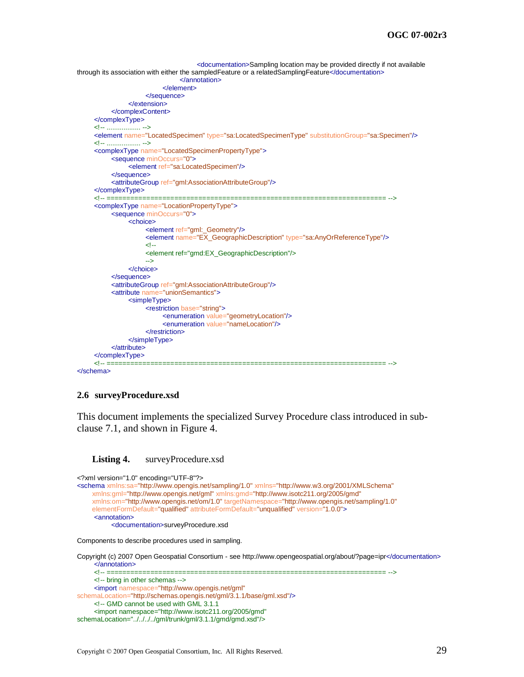```
<documentation>Sampling location may be provided directly if not available 
through its association with either the sampledFeature or a relatedSamplingFeature</documentation>
                               </annotation>
                          </element>
                    </sequence>
               </extension>
          </complexContent>
     </complexType>
     <!-- .................. -->
     <element name="LocatedSpecimen" type="sa:LocatedSpecimenType" substitutionGroup="sa:Specimen"/>
     <!-- .................. -->
     <complexType name="LocatedSpecimenPropertyType">
          <sequence minOccurs="0">
               <element ref="sa:LocatedSpecimen"/>
          </sequence>
          <attributeGroup ref="gml:AssociationAttributeGroup"/>
     </complexType>
     <!-- ====================================================================== -->
     <complexType name="LocationPropertyType">
          <sequence minOccurs="0">
               <choice>
                    <element ref="gml:_Geometry"/>
                    <element name="EX_GeographicDescription" type="sa:AnyOrReferenceType"/>
                    <!--
                    <element ref="gmd:EX_GeographicDescription"/>
                     -->
               </choice>
          </sequence>
          <attributeGroup ref="gml:AssociationAttributeGroup"/>
          <attribute name="unionSemantics">
               <simpleType>
                    <restriction base="string">
                          <enumeration value="geometryLocation"/>
                          <enumeration value="nameLocation"/>
                    </restriction>
               </simpleType>
          </attribute>
     </complexType>
     <!-- ====================================================================== -->
</schema>
```
#### **2.6 surveyProcedure.xsd**

This document implements the specialized Survey Procedure class introduced in subclause [7.1,](#page-20-2) and shown in [Figure 4.](#page-22-0)

#### <span id="page-38-0"></span>**Listing 4.** surveyProcedure.xsd

```
<?xml version="1.0" encoding="UTF-8"?>
<schema xmlns:sa="http://www.opengis.net/sampling/1.0" xmlns="http://www.w3.org/2001/XMLSchema"
      xmlns:gml="http://www.opengis.net/gml" xmlns:gmd="http://www.isotc211.org/2005/gmd"
      xmlns:om="http://www.opengis.net/om/1.0" targetNamespace="http://www.opengis.net/sampling/1.0"
      elementFormDefault="qualified" attributeFormDefault="unqualified" version="1.0.0">
     <annotation>
            <documentation>surveyProcedure.xsd
Components to describe procedures used in sampling.
Copyright (c) 2007 Open Geospatial Consortium - see http://www.opengeospatial.org/about/?page=ipr</documentation>
     </annotation>
                                                                                         <!-- ====================================================================== -->
```

```
<!-- bring in other schemas -->
     <import namespace="http://www.opengis.net/gml"
schemaLocation="http://schemas.opengis.net/gml/3.1.1/base/gml.xsd"/>
     <!-- GMD cannot be used with GML 3.1.1
     <import namespace="http://www.isotc211.org/2005/gmd" 
schemaLocation="../../../../gml/trunk/gml/3.1.1/gmd/gmd.xsd"/>
```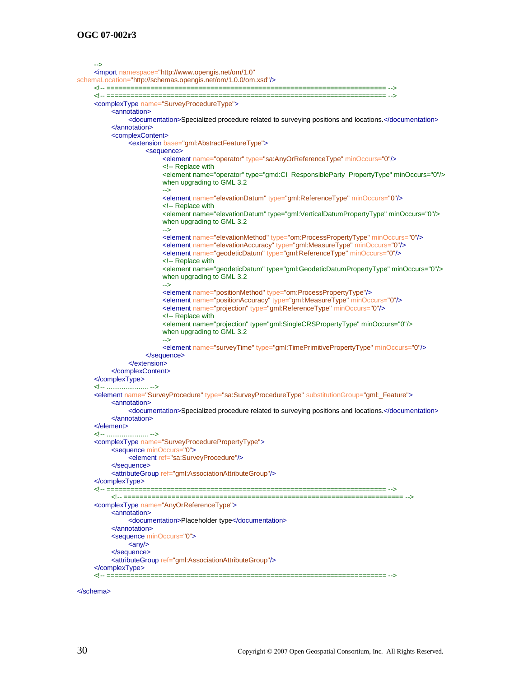```
-->
     <import namespace="http://www.opengis.net/om/1.0"
schemaLocation="http://schemas.opengis.net/om/1.0.0/om.xsd"/>
     <!-- ====================================================================== -->
     <!-- ====================================================================== -->
     <complexType name="SurveyProcedureType">
          <annotation>
               <documentation>Specialized procedure related to surveying positions and locations.</documentation>
          </annotation>
          <complexContent>
               <extension base="gml:AbstractFeatureType">
                     <sequence>
                          <element name="operator" type="sa:AnyOrReferenceType" minOccurs="0"/>
                          <!-- Replace with
                          <element name="operator" type="gmd:CI_ResponsibleParty_PropertyType" minOccurs="0"/>
                          when upgrading to GML 3.2
                          -->
                          <element name="elevationDatum" type="gml:ReferenceType" minOccurs="0"/>
                          <!-- Replace with
                          <element name="elevationDatum" type="gml:VerticalDatumPropertyType" minOccurs="0"/>
                          when upgrading to GML 3.2
                          -->
                          <element name="elevationMethod" type="om:ProcessPropertyType" minOccurs="0"/>
                          <element name="elevationAccuracy" type="gml:MeasureType" minOccurs="0"/>
                          <element name="geodeticDatum" type="gml:ReferenceType" minOccurs="0"/>
                          <!-- Replace with
                          <element name="geodeticDatum" type="gml:GeodeticDatumPropertyType" minOccurs="0"/>
                          when upgrading to GML 3.2
                          -->
                          <element name="positionMethod" type="om:ProcessPropertyType"/>
                          <element name="positionAccuracy" type="gml:MeasureType" minOccurs="0"/>
                          <element name="projection" type="gml:ReferenceType" minOccurs="0"/>
                          <!-- Replace with
                          <element name="projection" type="gml:SingleCRSPropertyType" minOccurs="0"/>
                          when upgrading to GML 3.2
                          -->
                          <element name="surveyTime" type="gml:TimePrimitivePropertyType" minOccurs="0"/>
                     </sequence>
               </extension>
          </complexContent>
     </complexType>
     <!-- ...................... -->
     <element name="SurveyProcedure" type="sa:SurveyProcedureType" substitutionGroup="gml:_Feature">
          <annotation>
               <documentation>Specialized procedure related to surveying positions and locations.</documentation>
          </annotation>
     </element>
     <!-- ...................... -->
     <complexType name="SurveyProcedurePropertyType">
          <sequence minOccurs="0">
               <element ref="sa:SurveyProcedure"/>
          </sequence>
          <attributeGroup ref="gml:AssociationAttributeGroup"/>
     </complexType>
     <!-- ====================================================================== -->
          <!-- ====================================================================== -->
     <complexType name="AnyOrReferenceType">
          <annotation>
               <documentation>Placeholder type</documentation>
          </annotation>
          <sequence minOccurs="0">
               \langle \text{any} \rangle</sequence>
          <attributeGroup ref="gml:AssociationAttributeGroup"/>
     </complexType>
     <!-- ====================================================================== -->
```

```
</schema>
```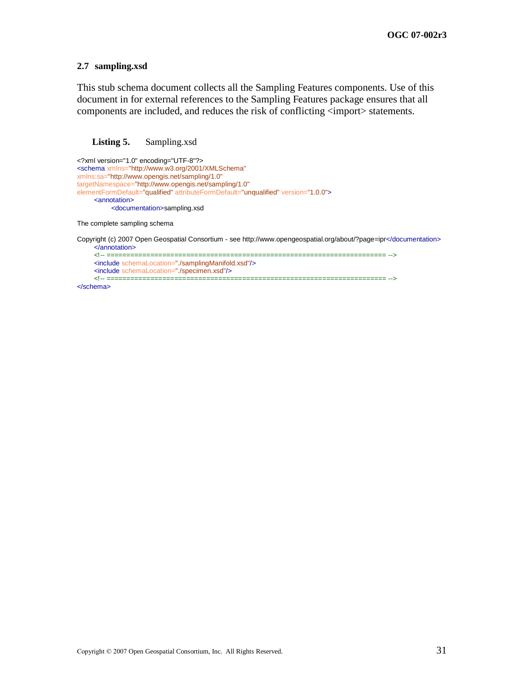#### **2.7 sampling.xsd**

This stub schema document collects all the Sampling Features components. Use of this document in for external references to the Sampling Features package ensures that all components are included, and reduces the risk of conflicting  $\langle$ import $\rangle$  statements.

#### <span id="page-40-0"></span>**Listing 5.** Sampling.xsd

```
<?xml version="1.0" encoding="UTF-8"?>
<schema xmlns="http://www.w3.org/2001/XMLSchema"
xmlns:sa="http://www.opengis.net/sampling/1.0"
targetNamespace="http://www.opengis.net/sampling/1.0"
elementFormDefault="qualified" attributeFormDefault="unqualified" version="1.0.0">
     <annotation>
          <documentation>sampling.xsd
```
The complete sampling schema

Copyright (c) 2007 Open Geospatial Consortium - see http://www.opengeospatial.org/about/?page=ipr</documentation> </annotation> <!-- ====================================================================== --> <include schemaLocation="./samplingManifold.xsd"/> <include schemaLocation="./specimen.xsd"/> <!-- ====================================================================== -->

</schema>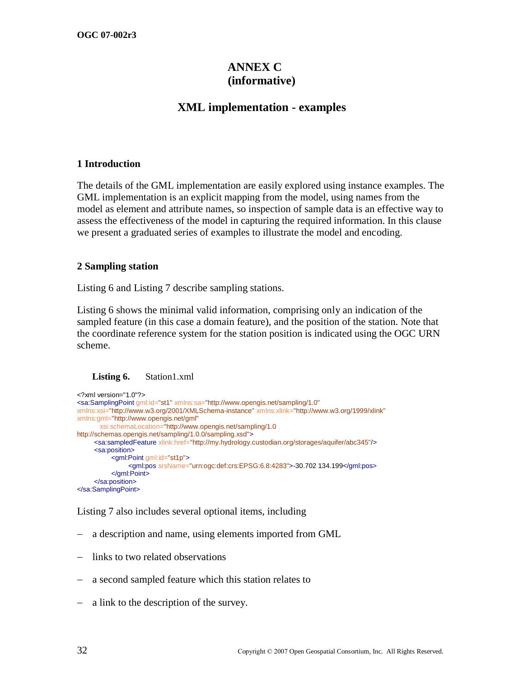# **ANNEX C (informative)**

# **XML implementation - examples**

#### **1 Introduction**

The details of the GML implementation are easily explored using instance examples. The GML implementation is an explicit mapping from the model, using names from the model as element and attribute names, so inspection of sample data is an effective way to assess the effectiveness of the model in capturing the required information. In this clause we present a graduated series of examples to illustrate the model and encoding.

#### **2 Sampling station**

[Listing 6](#page-41-0) and [Listing 7](#page-42-0) describe sampling stations.

[Listing 6](#page-41-0) shows the minimal valid information, comprising only an indication of the sampled feature (in this case a domain feature), and the position of the station. Note that the coordinate reference system for the station position is indicated using the OGC URN scheme.

#### <span id="page-41-0"></span>**Listing 6.** Station1.xml

```
<?xml version="1.0"?>
<sa:SamplingPoint gml:id="st1" xmlns:sa="http://www.opengis.net/sampling/1.0"
xmlns:xsi="http://www.w3.org/2001/XMLSchema-instance" xmlns:xlink="http://www.w3.org/1999/xlink"
xmlns:gml="http://www.opengis.net/gml"
        xsi:schemaLocation="http://www.opengis.net/sampling/1.0 
http://schemas.opengis.net/sampling/1.0.0/sampling.xsd">
     <sa:sampledFeature xlink:href="http://my.hydrology.custodian.org/storages/aquifer/abc345"/>
     <sa:position>
           <gml:Point gml:id="st1p">
                <gml:pos srsName="urn:ogc:def:crs:EPSG:6.8:4283">-30.702 134.199</gml:pos>
           </gml:Point>
     </sa:position>
</sa:SamplingPoint>
```
[Listing 7](#page-42-0) also includes several optional items, including

- a description and name, using elements imported from GML
- links to two related observations
- a second sampled feature which this station relates to
- a link to the description of the survey.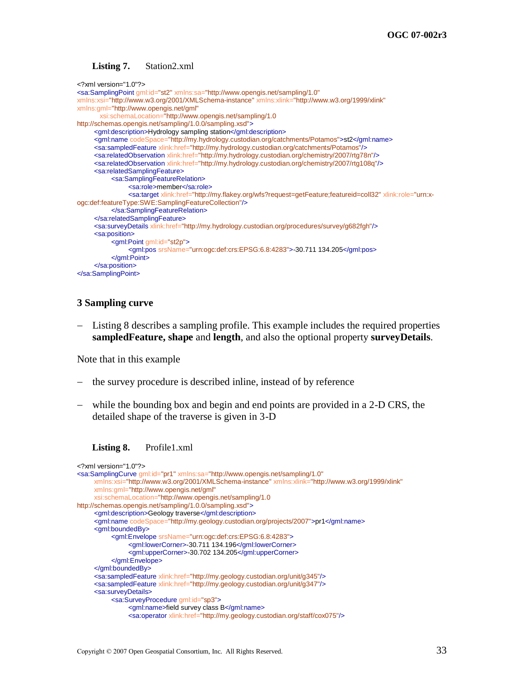#### **Listing 7.** Station2.xml

```
<?xml version="1.0"?>
<sa:SamplingPoint gml:id="st2" xmlns:sa="http://www.opengis.net/sampling/1.0"
xmlns:xsi="http://www.w3.org/2001/XMLSchema-instance" xmlns:xlink="http://www.w3.org/1999/xlink"
xmlns:gml="http://www.opengis.net/gml"
        xsi:schemaLocation="http://www.opengis.net/sampling/1.0 
http://schemas.opengis.net/sampling/1.0.0/sampling.xsd">
     <gml:description>Hydrology sampling station</gml:description>
     <gml:name codeSpace="http://my.hydrology.custodian.org/catchments/Potamos">st2</gml:name>
     <sa:sampledFeature xlink:href="http://my.hydrology.custodian.org/catchments/Potamos"/>
     <sa:relatedObservation xlink:href="http://my.hydrology.custodian.org/chemistry/2007/rtg78n"/>
     <sa:relatedObservation xlink:href="http://my.hydrology.custodian.org/chemistry/2007/rtg108q"/>
     <sa:relatedSamplingFeature>
           <sa:SamplingFeatureRelation>
                <sa:role>member</sa:role>
                <sa:target xlink:href="http://my.flakey.org/wfs?request=getFeature;featureid=coll32" xlink:role="urn:x-
ogc:def:featureType:SWE:SamplingFeatureCollection"/>
           </sa:SamplingFeatureRelation>
     </sa:relatedSamplingFeature>
     <sa:surveyDetails xlink:href="http://my.hydrology.custodian.org/procedures/survey/g682fgh"/>
     <sa:position>
           <gml:Point gml:id="st2p">
                <gml:pos srsName="urn:ogc:def:crs:EPSG:6.8:4283">-30.711 134.205</gml:pos>
           </gml:Point>
     </sa:position>
</sa:SamplingPoint>
```
#### **3 Sampling curve**

 [Listing 8](#page-42-1) describes a sampling profile. This example includes the required properties **sampledFeature, shape** and **length**, and also the optional property **surveyDetails**.

Note that in this example

- the survey procedure is described inline, instead of by reference
- while the bounding box and begin and end points are provided in a 2-D CRS, the detailed shape of the traverse is given in 3-D

<span id="page-42-1"></span>

```
<?xml version="1.0"?>
<sa:SamplingCurve gml:id="pr1" xmlns:sa="http://www.opengis.net/sampling/1.0"
     xmlns:xsi="http://www.w3.org/2001/XMLSchema-instance" xmlns:xlink="http://www.w3.org/1999/xlink"
     xmlns:gml="http://www.opengis.net/gml"
     xsi:schemaLocation="http://www.opengis.net/sampling/1.0 
http://schemas.opengis.net/sampling/1.0.0/sampling.xsd">
     <gml:description>Geology traverse</gml:description>
     <gml:name codeSpace="http://my.geology.custodian.org/projects/2007">pr1</gml:name>
     <gml:boundedBy>
           <gml:Envelope srsName="urn:ogc:def:crs:EPSG:6.8:4283">
                <gml:lowerCorner>-30.711 134.196</gml:lowerCorner>
                <gml:upperCorner>-30.702 134.205</gml:upperCorner>
          </gml:Envelope>
     </gml:boundedBy>
     <sa:sampledFeature xlink:href="http://my.geology.custodian.org/unit/g345"/>
     <sa:sampledFeature xlink:href="http://my.geology.custodian.org/unit/g347"/>
     <sa:surveyDetails>
           <sa:SurveyProcedure gml:id="sp3">
                <gml:name>field survey class B</gml:name>
                <sa:operator xlink:href="http://my.geology.custodian.org/staff/cox075"/>
```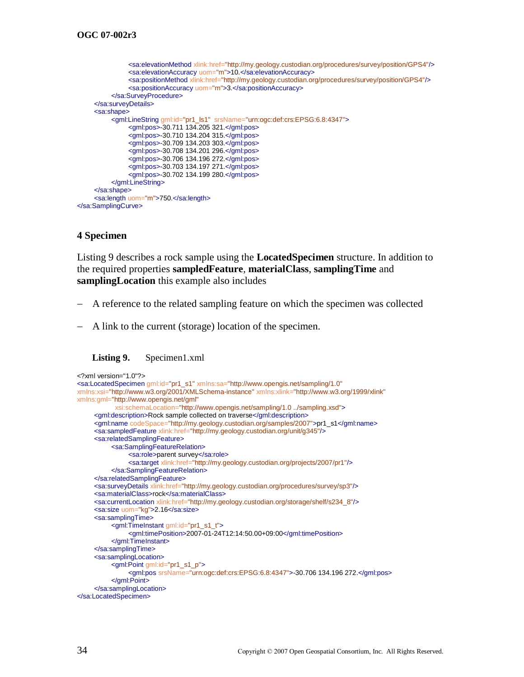```
<sa:elevationMethod xlink:href="http://my.geology.custodian.org/procedures/survey/position/GPS4"/>
                <sa:elevationAccuracy uom="m">10.</sa:elevationAccuracy>
                <sa:positionMethod xlink:href="http://my.geology.custodian.org/procedures/survey/position/GPS4"/>
                <sa:positionAccuracy uom="m">3.</sa:positionAccuracy>
          </sa:SurveyProcedure>
     </sa:surveyDetails>
     <sa:shape>
          <gml:LineString gml:id="pr1_ls1" srsName="urn:ogc:def:crs:EPSG:6.8:4347">
               <gml:pos>-30.711 134.205 321.</gml:pos>
                <gml:pos>-30.710 134.204 315.</gml:pos>
                <gml:pos>-30.709 134.203 303.</gml:pos>
                <gml:pos>-30.708 134.201 296.</gml:pos>
               <gml:pos>-30.706 134.196 272.</gml:pos>
                <gml:pos>-30.703 134.197 271.</gml:pos>
                <gml:pos>-30.702 134.199 280.</gml:pos>
          </gml:LineString>
     </sa:shape>
     <sa:length uom="m">750.</sa:length>
</sa:SamplingCurve>
```
### **4 Specimen**

[Listing 9](#page-43-0) describes a rock sample using the **LocatedSpecimen** structure. In addition to the required properties **sampledFeature**, **materialClass**, **samplingTime** and **samplingLocation** this example also includes

- A reference to the related sampling feature on which the specimen was collected
- A link to the current (storage) location of the specimen.

<span id="page-43-0"></span>

```
<?xml version="1.0"?>
<sa:LocatedSpecimen gml:id="pr1_s1" xmlns:sa="http://www.opengis.net/sampling/1.0"
xmlns:xsi="http://www.w3.org/2001/XMLSchema-instance" xmlns:xlink="http://www.w3.org/1999/xlink"
xmlns:gml="http://www.opengis.net/gml"
            xsi:schemaLocation="http://www.opengis.net/sampling/1.0 ../sampling.xsd">
     <gml:description>Rock sample collected on traverse</gml:description>
     <gml:name codeSpace="http://my.geology.custodian.org/samples/2007">pr1_s1</gml:name>
     <sa:sampledFeature xlink:href="http://my.geology.custodian.org/unit/g345"/>
     <sa:relatedSamplingFeature>
           <sa:SamplingFeatureRelation>
                <sa:role>parent survey</sa:role>
                <sa:target xlink:href="http://my.geology.custodian.org/projects/2007/pr1"/>
          </sa:SamplingFeatureRelation>
     </sa:relatedSamplingFeature>
     <sa:surveyDetails xlink:href="http://my.geology.custodian.org/procedures/survey/sp3"/>
     <sa:materialClass>rock</sa:materialClass>
     <sa:currentLocation xlink:href="http://my.geology.custodian.org/storage/shelf/s234_8"/>
     <sa:size uom="kg">2.16</sa:size>
     <sa:samplingTime>
           <gml:TimeInstant gml:id="pr1_s1_t">
                <gml:timePosition>2007-01-24T12:14:50.00+09:00</gml:timePosition>
          </gml:TimeInstant>
     </sa:samplingTime>
     <sa:samplingLocation>
          <gml:Point gml:id="pr1_s1_p">
                <gml:pos srsName="urn:ogc:def:crs:EPSG:6.8:4347">-30.706 134.196 272.</gml:pos>
          </gml:Point>
     </sa:samplingLocation>
</sa:LocatedSpecimen>
```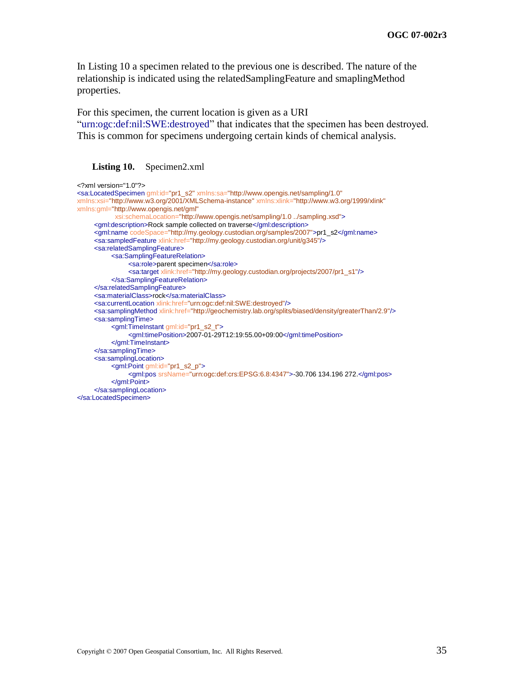In [Listing 10](#page-44-0) a specimen related to the previous one is described. The nature of the relationship is indicated using the relatedSamplingFeature and smaplingMethod properties.

For this specimen, the current location is given as a URI

"urn:ogc:def:nil:SWE:destroyed" that indicates that the specimen has been destroyed. This is common for specimens undergoing certain kinds of chemical analysis.

#### <span id="page-44-0"></span>**Listing 10.** Specimen2.xml

```
<?xml version="1.0"?>
<sa:LocatedSpecimen gml:id="pr1_s2" xmlns:sa="http://www.opengis.net/sampling/1.0"
xmlns:xsi="http://www.w3.org/2001/XMLSchema-instance" xmlns:xlink="http://www.w3.org/1999/xlink"
xmlns:gml="http://www.opengis.net/gml"
            xsi:schemaLocation="http://www.opengis.net/sampling/1.0 ../sampling.xsd">
     <gml:description>Rock sample collected on traverse</gml:description>
     <gml:name codeSpace="http://my.geology.custodian.org/samples/2007">pr1_s2</gml:name>
     <sa:sampledFeature xlink:href="http://my.geology.custodian.org/unit/g345"/>
     <sa:relatedSamplingFeature>
          <sa:SamplingFeatureRelation>
               <sa:role>parent specimen</sa:role>
               <sa:target xlink:href="http://my.geology.custodian.org/projects/2007/pr1_s1"/>
          </sa:SamplingFeatureRelation>
     </sa:relatedSamplingFeature>
     <sa:materialClass>rock</sa:materialClass>
     <sa:currentLocation xlink:href="urn:ogc:def:nil:SWE:destroyed"/>
     <sa:samplingMethod xlink:href="http://geochemistry.lab.org/splits/biased/density/greaterThan/2.9"/>
     <sa:samplingTime>
          <gml:TimeInstant gml:id="pr1_s2_t">
               <gml:timePosition>2007-01-29T12:19:55.00+09:00</gml:timePosition>
          </gml:TimeInstant>
     </sa:samplingTime>
     <sa:samplingLocation>
          <gml:Point gml:id="pr1_s2_p">
                <gml:pos srsName="urn:ogc:def:crs:EPSG:6.8:4347">-30.706 134.196 272.</gml:pos>
          </gml:Point>
     </sa:samplingLocation>
</sa:LocatedSpecimen>
```